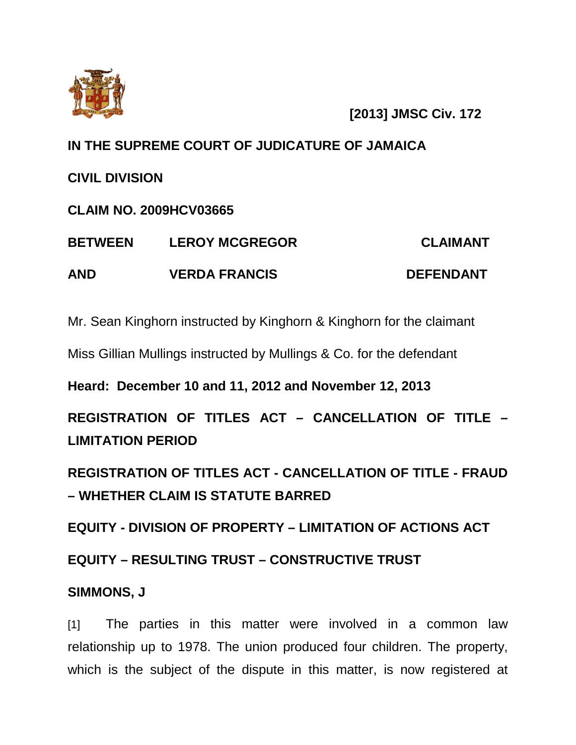

 **[2013] JMSC Civ. 172**

**IN THE SUPREME COURT OF JUDICATURE OF JAMAICA**

**CIVIL DIVISION**

**CLAIM NO. 2009HCV03665**

**BETWEEN LEROY MCGREGOR CLAIMANT**

**AND VERDA FRANCIS DEFENDANT**

Mr. Sean Kinghorn instructed by Kinghorn & Kinghorn for the claimant

Miss Gillian Mullings instructed by Mullings & Co. for the defendant

**Heard: December 10 and 11, 2012 and November 12, 2013**

**REGISTRATION OF TITLES ACT – CANCELLATION OF TITLE – LIMITATION PERIOD**

**REGISTRATION OF TITLES ACT - CANCELLATION OF TITLE - FRAUD – WHETHER CLAIM IS STATUTE BARRED**

**EQUITY - DIVISION OF PROPERTY – LIMITATION OF ACTIONS ACT**

**EQUITY – RESULTING TRUST – CONSTRUCTIVE TRUST**

### **SIMMONS, J**

[1] The parties in this matter were involved in a common law relationship up to 1978. The union produced four children. The property, which is the subject of the dispute in this matter, is now registered at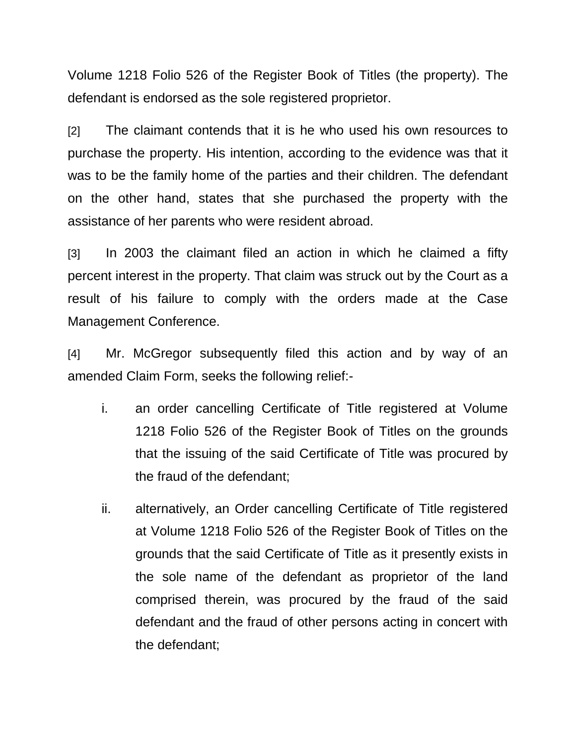Volume 1218 Folio 526 of the Register Book of Titles (the property). The defendant is endorsed as the sole registered proprietor.

[2] The claimant contends that it is he who used his own resources to purchase the property. His intention, according to the evidence was that it was to be the family home of the parties and their children. The defendant on the other hand, states that she purchased the property with the assistance of her parents who were resident abroad.

[3] In 2003 the claimant filed an action in which he claimed a fifty percent interest in the property. That claim was struck out by the Court as a result of his failure to comply with the orders made at the Case Management Conference.

[4] Mr. McGregor subsequently filed this action and by way of an amended Claim Form, seeks the following relief:-

- i. an order cancelling Certificate of Title registered at Volume 1218 Folio 526 of the Register Book of Titles on the grounds that the issuing of the said Certificate of Title was procured by the fraud of the defendant;
- ii. alternatively, an Order cancelling Certificate of Title registered at Volume 1218 Folio 526 of the Register Book of Titles on the grounds that the said Certificate of Title as it presently exists in the sole name of the defendant as proprietor of the land comprised therein, was procured by the fraud of the said defendant and the fraud of other persons acting in concert with the defendant;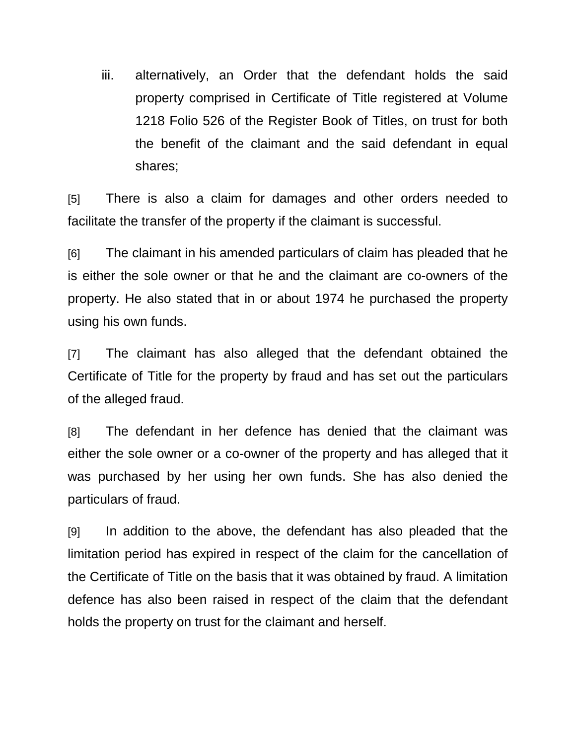iii. alternatively, an Order that the defendant holds the said property comprised in Certificate of Title registered at Volume 1218 Folio 526 of the Register Book of Titles, on trust for both the benefit of the claimant and the said defendant in equal shares;

[5] There is also a claim for damages and other orders needed to facilitate the transfer of the property if the claimant is successful.

[6] The claimant in his amended particulars of claim has pleaded that he is either the sole owner or that he and the claimant are co-owners of the property. He also stated that in or about 1974 he purchased the property using his own funds.

[7] The claimant has also alleged that the defendant obtained the Certificate of Title for the property by fraud and has set out the particulars of the alleged fraud.

[8] The defendant in her defence has denied that the claimant was either the sole owner or a co-owner of the property and has alleged that it was purchased by her using her own funds. She has also denied the particulars of fraud.

[9] In addition to the above, the defendant has also pleaded that the limitation period has expired in respect of the claim for the cancellation of the Certificate of Title on the basis that it was obtained by fraud. A limitation defence has also been raised in respect of the claim that the defendant holds the property on trust for the claimant and herself.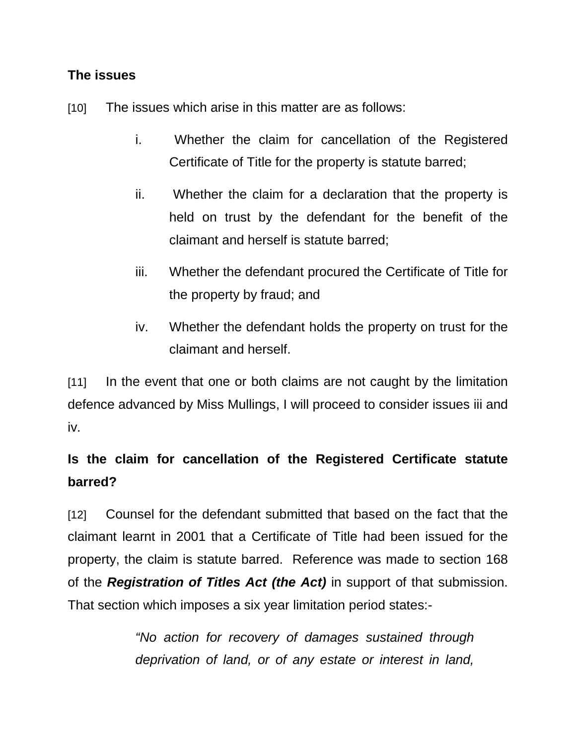### **The issues**

[10] The issues which arise in this matter are as follows:

- i. Whether the claim for cancellation of the Registered Certificate of Title for the property is statute barred;
- ii. Whether the claim for a declaration that the property is held on trust by the defendant for the benefit of the claimant and herself is statute barred;
- iii. Whether the defendant procured the Certificate of Title for the property by fraud; and
- iv. Whether the defendant holds the property on trust for the claimant and herself.

[11] In the event that one or both claims are not caught by the limitation defence advanced by Miss Mullings, I will proceed to consider issues iii and iv.

# **Is the claim for cancellation of the Registered Certificate statute barred?**

[12] Counsel for the defendant submitted that based on the fact that the claimant learnt in 2001 that a Certificate of Title had been issued for the property, the claim is statute barred. Reference was made to section 168 of the *Registration of Titles Act (the Act)* in support of that submission. That section which imposes a six year limitation period states:-

> *"No action for recovery of damages sustained through deprivation of land, or of any estate or interest in land,*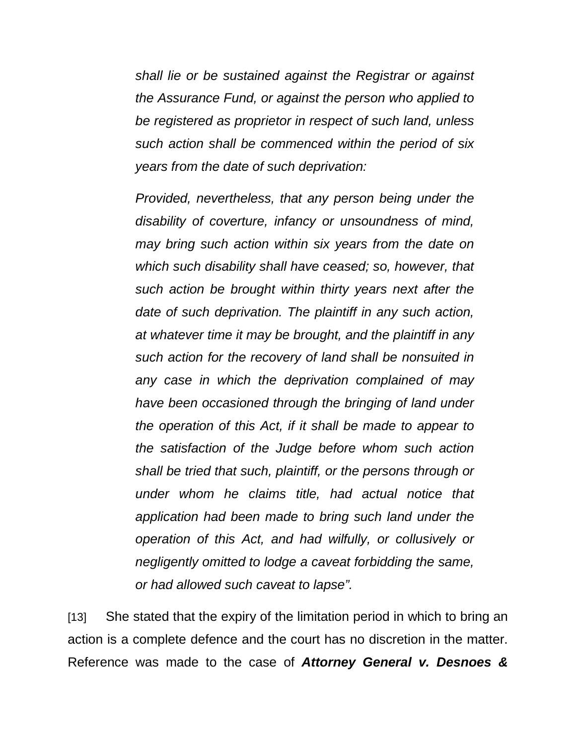*shall lie or be sustained against the Registrar or against the Assurance Fund, or against the person who applied to be registered as proprietor in respect of such land, unless such action shall be commenced within the period of six years from the date of such deprivation:* 

*Provided, nevertheless, that any person being under the disability of coverture, infancy or unsoundness of mind, may bring such action within six years from the date on which such disability shall have ceased; so, however, that such action be brought within thirty years next after the date of such deprivation. The plaintiff in any such action, at whatever time it may be brought, and the plaintiff in any such action for the recovery of land shall be nonsuited in any case in which the deprivation complained of may have been occasioned through the bringing of land under the operation of this Act, if it shall be made to appear to the satisfaction of the Judge before whom such action shall be tried that such, plaintiff, or the persons through or under whom he claims title, had actual notice that application had been made to bring such land under the operation of this Act, and had wilfully, or collusively or negligently omitted to lodge a caveat forbidding the same, or had allowed such caveat to lapse".*

[13] She stated that the expiry of the limitation period in which to bring an action is a complete defence and the court has no discretion in the matter. Reference was made to the case of *Attorney General v. Desnoes &*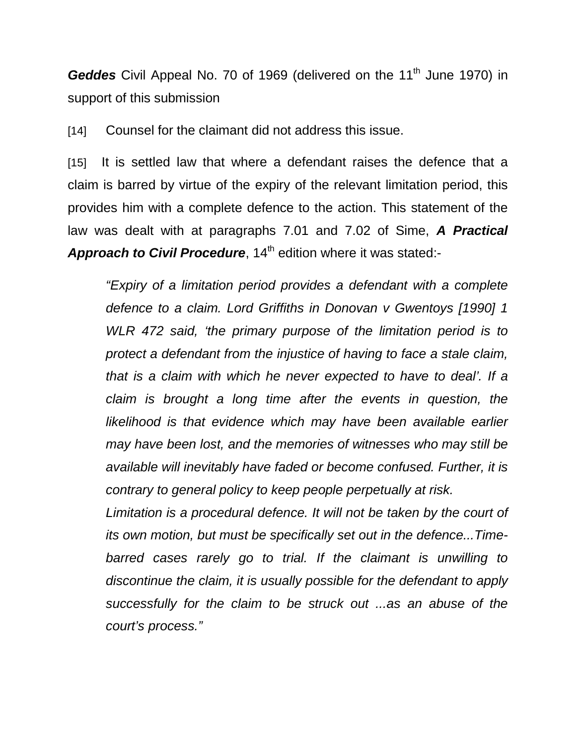**Geddes** Civil Appeal No. 70 of 1969 (delivered on the 11<sup>th</sup> June 1970) in support of this submission

[14] Counsel for the claimant did not address this issue.

[15] It is settled law that where a defendant raises the defence that a claim is barred by virtue of the expiry of the relevant limitation period, this provides him with a complete defence to the action. This statement of the law was dealt with at paragraphs 7.01 and 7.02 of Sime, *A Practical*  **Approach to Civil Procedure**, 14<sup>th</sup> edition where it was stated:-

*"Expiry of a limitation period provides a defendant with a complete defence to a claim. Lord Griffiths in Donovan v Gwentoys [1990] 1 WLR 472 said, 'the primary purpose of the limitation period is to protect a defendant from the injustice of having to face a stale claim, that is a claim with which he never expected to have to deal'. If a claim is brought a long time after the events in question, the likelihood is that evidence which may have been available earlier may have been lost, and the memories of witnesses who may still be available will inevitably have faded or become confused. Further, it is contrary to general policy to keep people perpetually at risk.*

Limitation is a procedural defence. It will not be taken by the court of *its own motion, but must be specifically set out in the defence...Timebarred cases rarely go to trial. If the claimant is unwilling to discontinue the claim, it is usually possible for the defendant to apply successfully for the claim to be struck out ...as an abuse of the court's process."*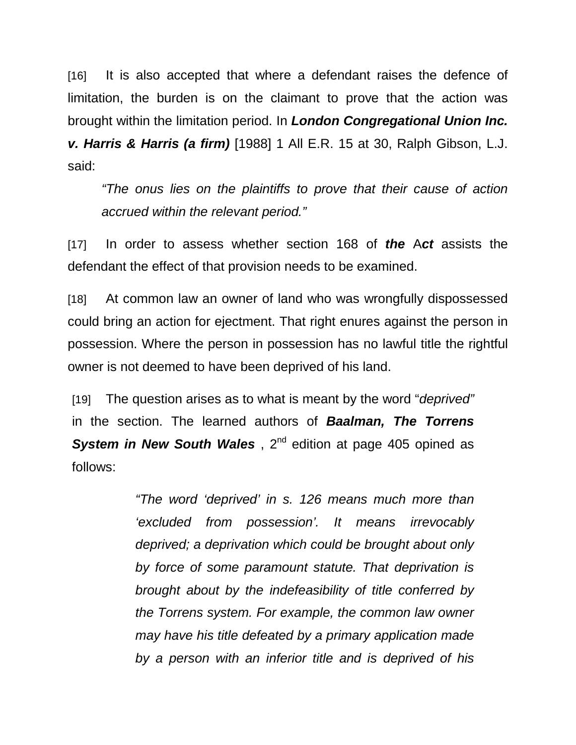[16] It is also accepted that where a defendant raises the defence of limitation, the burden is on the claimant to prove that the action was brought within the limitation period. In *London Congregational Union Inc. v. Harris & Harris (a firm)* [1988] 1 All E.R. 15 at 30, Ralph Gibson, L.J. said:

*"The onus lies on the plaintiffs to prove that their cause of action accrued within the relevant period."*

[17] In order to assess whether section 168 of *the* A*ct* assists the defendant the effect of that provision needs to be examined.

[18] At common law an owner of land who was wrongfully dispossessed could bring an action for ejectment. That right enures against the person in possession. Where the person in possession has no lawful title the rightful owner is not deemed to have been deprived of his land.

[19] The question arises as to what is meant by the word "*deprived"*  in the section. The learned authors of *Baalman, The Torrens*  **System in New South Wales**, 2<sup>nd</sup> edition at page 405 opined as follows:

> *"The word 'deprived' in s. 126 means much more than 'excluded from possession'. It means irrevocably deprived; a deprivation which could be brought about only by force of some paramount statute. That deprivation is brought about by the indefeasibility of title conferred by the Torrens system. For example, the common law owner may have his title defeated by a primary application made by a person with an inferior title and is deprived of his*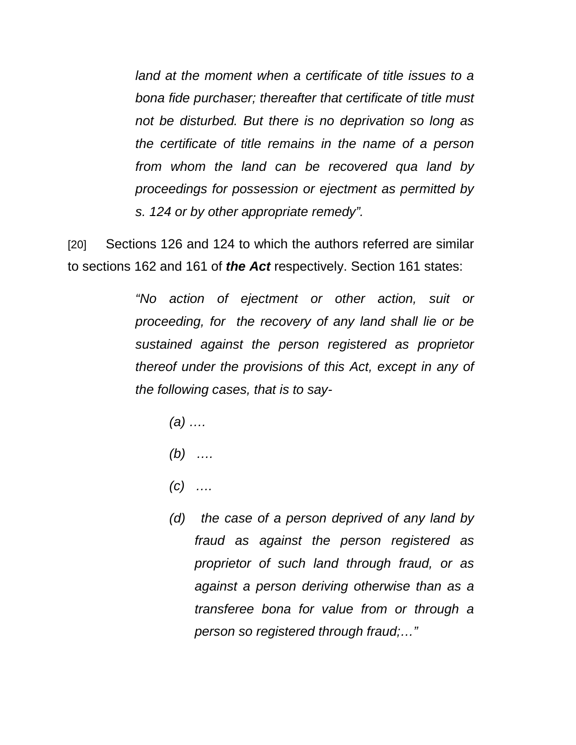land at the moment when a certificate of title issues to a *bona fide purchaser; thereafter that certificate of title must not be disturbed. But there is no deprivation so long as the certificate of title remains in the name of a person from whom the land can be recovered qua land by proceedings for possession or ejectment as permitted by s. 124 or by other appropriate remedy".*

[20] Sections 126 and 124 to which the authors referred are similar to sections 162 and 161 of *the Act* respectively. Section 161 states:

> *"No action of ejectment or other action, suit or proceeding, for the recovery of any land shall lie or be sustained against the person registered as proprietor thereof under the provisions of this Act, except in any of the following cases, that is to say-*

- *(a) ….*
- *(b) ….*
- *(c) ….*
- *(d) the case of a person deprived of any land by fraud as against the person registered as proprietor of such land through fraud, or as against a person deriving otherwise than as a transferee bona for value from or through a person so registered through fraud;…"*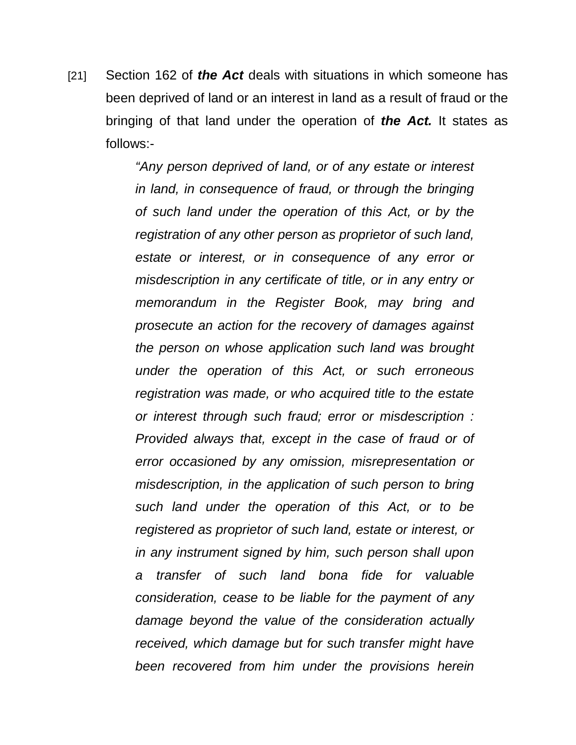[21] Section 162 of *the Act* deals with situations in which someone has been deprived of land or an interest in land as a result of fraud or the bringing of that land under the operation of *the Act.* It states as follows:-

> *"Any person deprived of land, or of any estate or interest in land, in consequence of fraud, or through the bringing of such land under the operation of this Act, or by the registration of any other person as proprietor of such land, estate or interest, or in consequence of any error or misdescription in any certificate of title, or in any entry or memorandum in the Register Book, may bring and prosecute an action for the recovery of damages against the person on whose application such land was brought under the operation of this Act, or such erroneous registration was made, or who acquired title to the estate or interest through such fraud; error or misdescription : Provided always that, except in the case of fraud or of error occasioned by any omission, misrepresentation or misdescription, in the application of such person to bring such land under the operation of this Act, or to be registered as proprietor of such land, estate or interest, or in any instrument signed by him, such person shall upon a transfer of such land bona fide for valuable consideration, cease to be liable for the payment of any damage beyond the value of the consideration actually received, which damage but for such transfer might have been recovered from him under the provisions herein*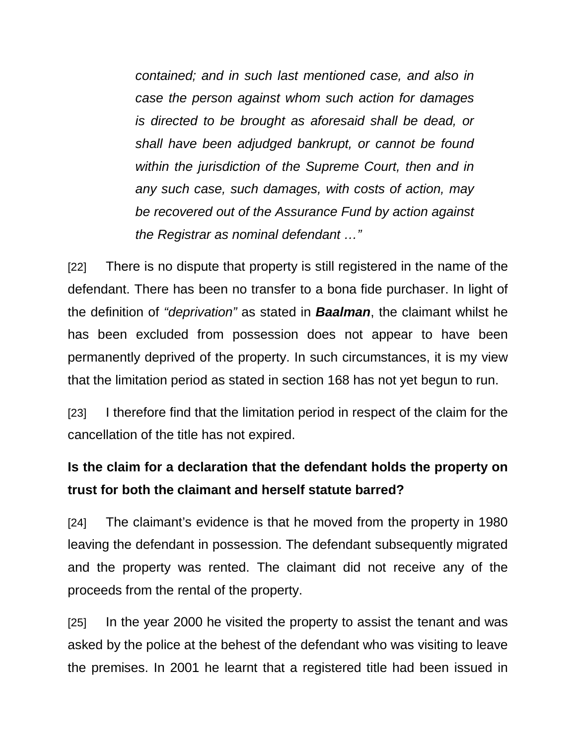*contained; and in such last mentioned case, and also in case the person against whom such action for damages is directed to be brought as aforesaid shall be dead, or shall have been adjudged bankrupt, or cannot be found within the jurisdiction of the Supreme Court, then and in any such case, such damages, with costs of action, may be recovered out of the Assurance Fund by action against the Registrar as nominal defendant …"*

[22] There is no dispute that property is still registered in the name of the defendant. There has been no transfer to a bona fide purchaser. In light of the definition of *"deprivation"* as stated in *Baalman*, the claimant whilst he has been excluded from possession does not appear to have been permanently deprived of the property. In such circumstances, it is my view that the limitation period as stated in section 168 has not yet begun to run.

[23] I therefore find that the limitation period in respect of the claim for the cancellation of the title has not expired.

# **Is the claim for a declaration that the defendant holds the property on trust for both the claimant and herself statute barred?**

[24] The claimant's evidence is that he moved from the property in 1980 leaving the defendant in possession. The defendant subsequently migrated and the property was rented. The claimant did not receive any of the proceeds from the rental of the property.

[25] In the year 2000 he visited the property to assist the tenant and was asked by the police at the behest of the defendant who was visiting to leave the premises. In 2001 he learnt that a registered title had been issued in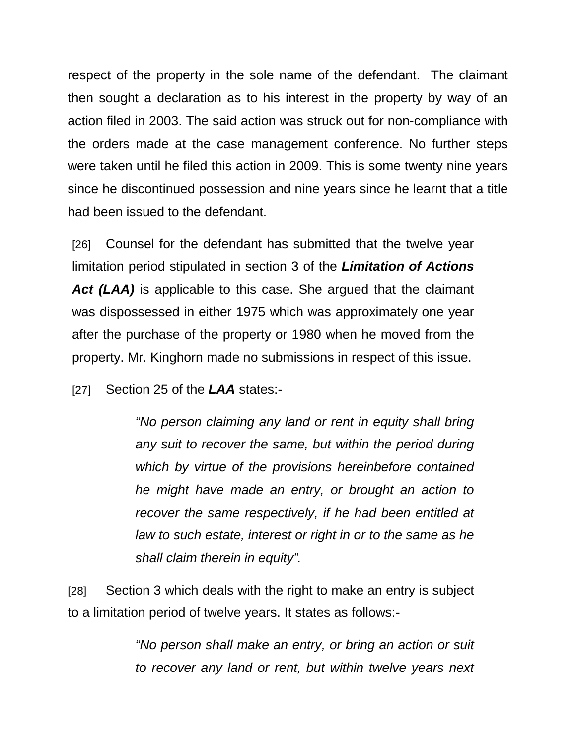respect of the property in the sole name of the defendant. The claimant then sought a declaration as to his interest in the property by way of an action filed in 2003. The said action was struck out for non-compliance with the orders made at the case management conference. No further steps were taken until he filed this action in 2009. This is some twenty nine years since he discontinued possession and nine years since he learnt that a title had been issued to the defendant.

[26] Counsel for the defendant has submitted that the twelve year limitation period stipulated in section 3 of the *Limitation of Actions*  Act (LAA) is applicable to this case. She argued that the claimant was dispossessed in either 1975 which was approximately one year after the purchase of the property or 1980 when he moved from the property. Mr. Kinghorn made no submissions in respect of this issue.

[27] Section 25 of the *LAA* states:-

*"No person claiming any land or rent in equity shall bring any suit to recover the same, but within the period during which by virtue of the provisions hereinbefore contained he might have made an entry, or brought an action to recover the same respectively, if he had been entitled at law to such estate, interest or right in or to the same as he shall claim therein in equity".*

[28] Section 3 which deals with the right to make an entry is subject to a limitation period of twelve years. It states as follows:-

> *"No person shall make an entry, or bring an action or suit to recover any land or rent, but within twelve years next*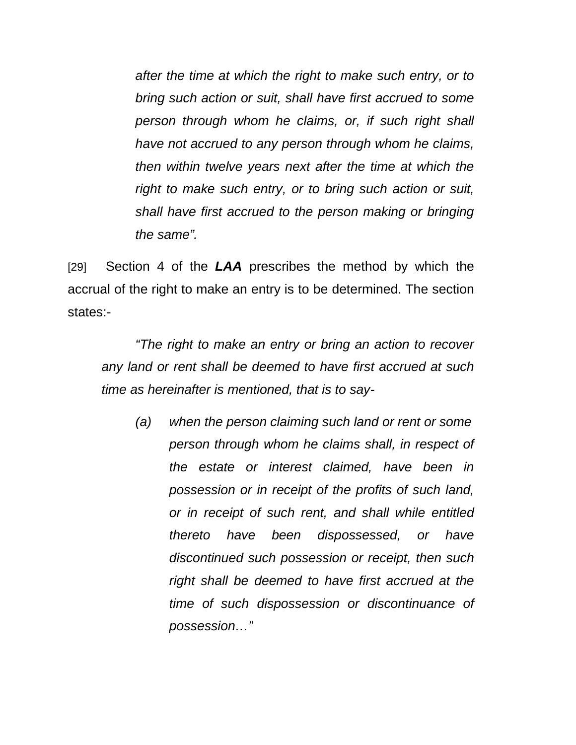*after the time at which the right to make such entry, or to bring such action or suit, shall have first accrued to some person through whom he claims, or, if such right shall have not accrued to any person through whom he claims, then within twelve years next after the time at which the right to make such entry, or to bring such action or suit, shall have first accrued to the person making or bringing the same".*

[29] Section 4 of the *LAA* prescribes the method by which the accrual of the right to make an entry is to be determined. The section states:-

*"The right to make an entry or bring an action to recover any land or rent shall be deemed to have first accrued at such time as hereinafter is mentioned, that is to say-*

*(a) when the person claiming such land or rent or some person through whom he claims shall, in respect of the estate or interest claimed, have been in possession or in receipt of the profits of such land, or in receipt of such rent, and shall while entitled thereto have been dispossessed, or have discontinued such possession or receipt, then such right shall be deemed to have first accrued at the time of such dispossession or discontinuance of possession…"*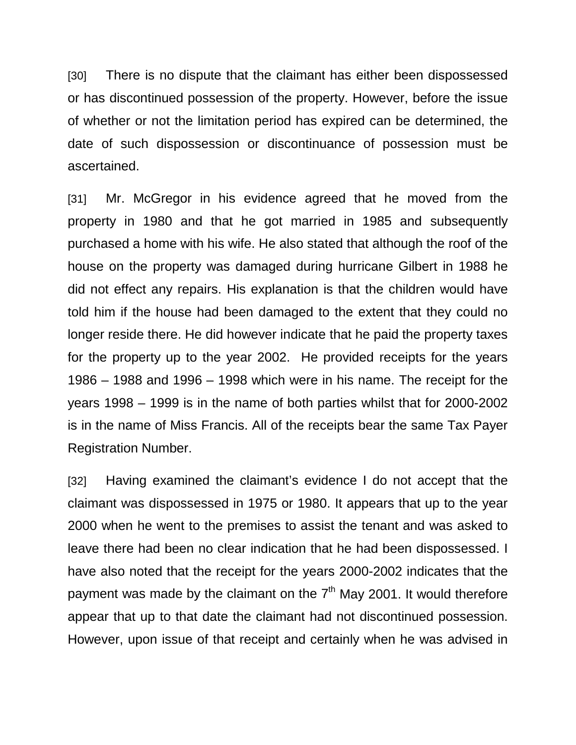[30] There is no dispute that the claimant has either been dispossessed or has discontinued possession of the property. However, before the issue of whether or not the limitation period has expired can be determined, the date of such dispossession or discontinuance of possession must be ascertained.

[31] Mr. McGregor in his evidence agreed that he moved from the property in 1980 and that he got married in 1985 and subsequently purchased a home with his wife. He also stated that although the roof of the house on the property was damaged during hurricane Gilbert in 1988 he did not effect any repairs. His explanation is that the children would have told him if the house had been damaged to the extent that they could no longer reside there. He did however indicate that he paid the property taxes for the property up to the year 2002. He provided receipts for the years 1986 – 1988 and 1996 – 1998 which were in his name. The receipt for the years 1998 – 1999 is in the name of both parties whilst that for 2000-2002 is in the name of Miss Francis. All of the receipts bear the same Tax Payer Registration Number.

[32] Having examined the claimant's evidence I do not accept that the claimant was dispossessed in 1975 or 1980. It appears that up to the year 2000 when he went to the premises to assist the tenant and was asked to leave there had been no clear indication that he had been dispossessed. I have also noted that the receipt for the years 2000-2002 indicates that the payment was made by the claimant on the  $7<sup>th</sup>$  May 2001. It would therefore appear that up to that date the claimant had not discontinued possession. However, upon issue of that receipt and certainly when he was advised in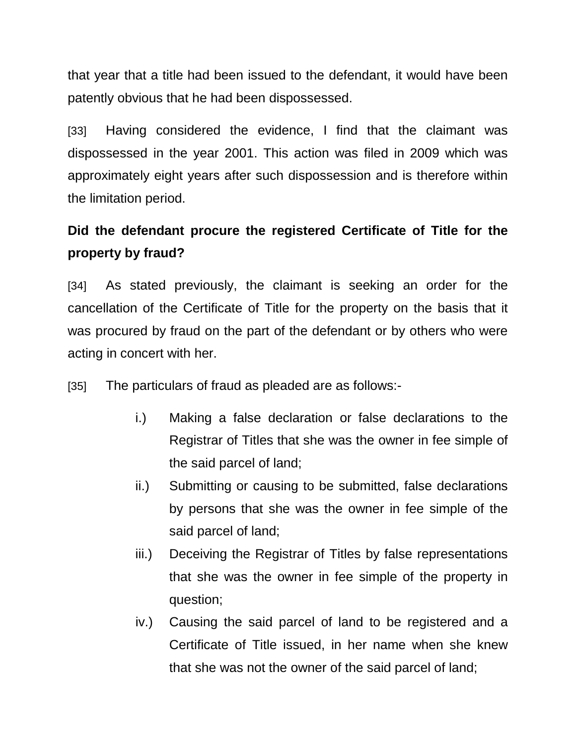that year that a title had been issued to the defendant, it would have been patently obvious that he had been dispossessed.

[33] Having considered the evidence, I find that the claimant was dispossessed in the year 2001. This action was filed in 2009 which was approximately eight years after such dispossession and is therefore within the limitation period.

# **Did the defendant procure the registered Certificate of Title for the property by fraud?**

[34] As stated previously, the claimant is seeking an order for the cancellation of the Certificate of Title for the property on the basis that it was procured by fraud on the part of the defendant or by others who were acting in concert with her.

[35] The particulars of fraud as pleaded are as follows:-

- i.) Making a false declaration or false declarations to the Registrar of Titles that she was the owner in fee simple of the said parcel of land;
- ii.) Submitting or causing to be submitted, false declarations by persons that she was the owner in fee simple of the said parcel of land;
- iii.) Deceiving the Registrar of Titles by false representations that she was the owner in fee simple of the property in question;
- iv.) Causing the said parcel of land to be registered and a Certificate of Title issued, in her name when she knew that she was not the owner of the said parcel of land;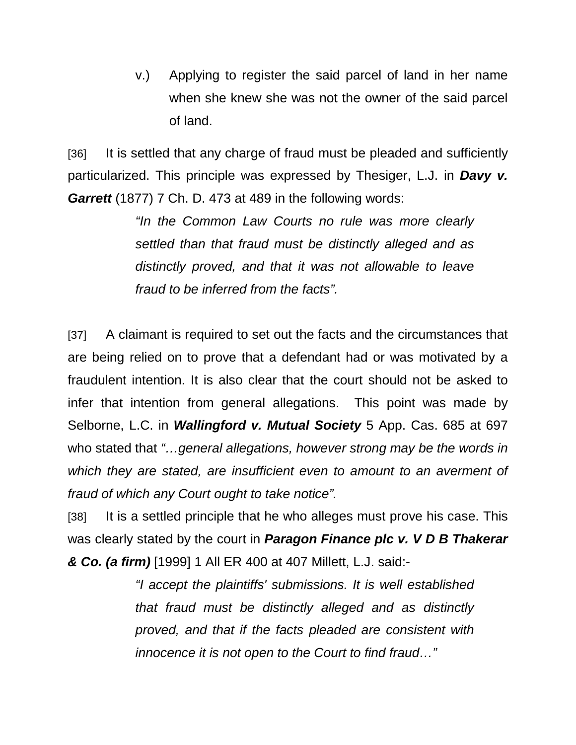v.) Applying to register the said parcel of land in her name when she knew she was not the owner of the said parcel of land.

[36] It is settled that any charge of fraud must be pleaded and sufficiently particularized. This principle was expressed by Thesiger, L.J. in *Davy v. Garrett* (1877) 7 Ch. D. 473 at 489 in the following words:

> *"In the Common Law Courts no rule was more clearly settled than that fraud must be distinctly alleged and as distinctly proved, and that it was not allowable to leave fraud to be inferred from the facts".*

[37] A claimant is required to set out the facts and the circumstances that are being relied on to prove that a defendant had or was motivated by a fraudulent intention. It is also clear that the court should not be asked to infer that intention from general allegations. This point was made by Selborne, L.C. in *Wallingford v. Mutual Society* 5 App. Cas. 685 at 697 who stated that *"…general allegations, however strong may be the words in which they are stated, are insufficient even to amount to an averment of fraud of which any Court ought to take notice".*

[38] It is a settled principle that he who alleges must prove his case. This was clearly stated by the court in *Paragon Finance plc v. V D B Thakerar & Co. (a firm)* [1999] 1 All ER 400 at 407 Millett, L.J. said:-

> *"I accept the plaintiffs' submissions. It is well established that fraud must be distinctly alleged and as distinctly proved, and that if the facts pleaded are consistent with innocence it is not open to the Court to find fraud…"*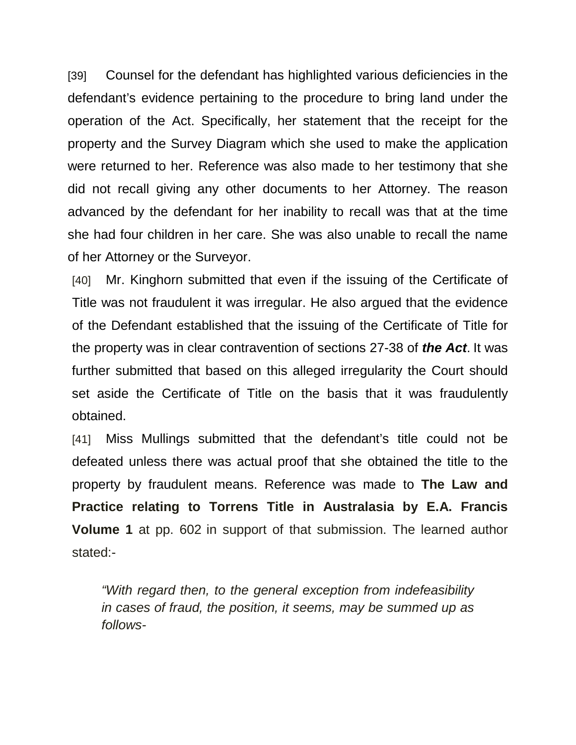[39] Counsel for the defendant has highlighted various deficiencies in the defendant's evidence pertaining to the procedure to bring land under the operation of the Act. Specifically, her statement that the receipt for the property and the Survey Diagram which she used to make the application were returned to her. Reference was also made to her testimony that she did not recall giving any other documents to her Attorney. The reason advanced by the defendant for her inability to recall was that at the time she had four children in her care. She was also unable to recall the name of her Attorney or the Surveyor.

[40] Mr. Kinghorn submitted that even if the issuing of the Certificate of Title was not fraudulent it was irregular. He also argued that the evidence of the Defendant established that the issuing of the Certificate of Title for the property was in clear contravention of sections 27-38 of *the Act*. It was further submitted that based on this alleged irregularity the Court should set aside the Certificate of Title on the basis that it was fraudulently obtained.

[41] Miss Mullings submitted that the defendant's title could not be defeated unless there was actual proof that she obtained the title to the property by fraudulent means. Reference was made to **The Law and Practice relating to Torrens Title in Australasia by E.A. Francis Volume 1** at pp. 602 in support of that submission. The learned author stated:-

*"With regard then, to the general exception from indefeasibility in cases of fraud, the position, it seems, may be summed up as follows-*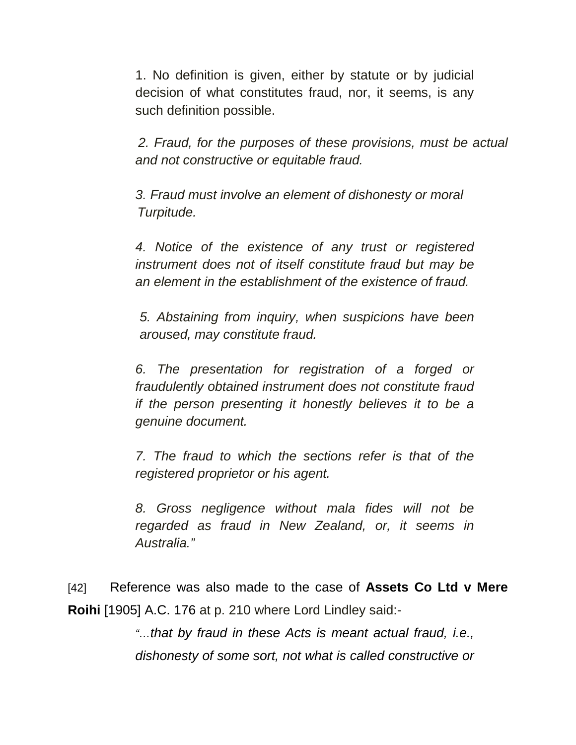1. No definition is given, either by statute or by judicial decision of what constitutes fraud, nor, it seems, is any such definition possible.

*2. Fraud, for the purposes of these provisions, must be actual and not constructive or equitable fraud.*

*3. Fraud must involve an element of dishonesty or moral Turpitude.*

*4. Notice of the existence of any trust or registered instrument does not of itself constitute fraud but may be an element in the establishment of the existence of fraud.*

*5. Abstaining from inquiry, when suspicions have been aroused, may constitute fraud.*

*6. The presentation for registration of a forged or fraudulently obtained instrument does not constitute fraud if the person presenting it honestly believes it to be a genuine document.*

*7. The fraud to which the sections refer is that of the registered proprietor or his agent.*

*8. Gross negligence without mala fides will not be regarded as fraud in New Zealand, or, it seems in Australia."*

[42] Reference was also made to the case of **Assets Co Ltd v Mere Roihi** [1905] A.C. 176 at p. 210 where Lord Lindley said:-

> *"…that by fraud in these Acts is meant actual fraud, i.e., dishonesty of some sort, not what is called constructive or*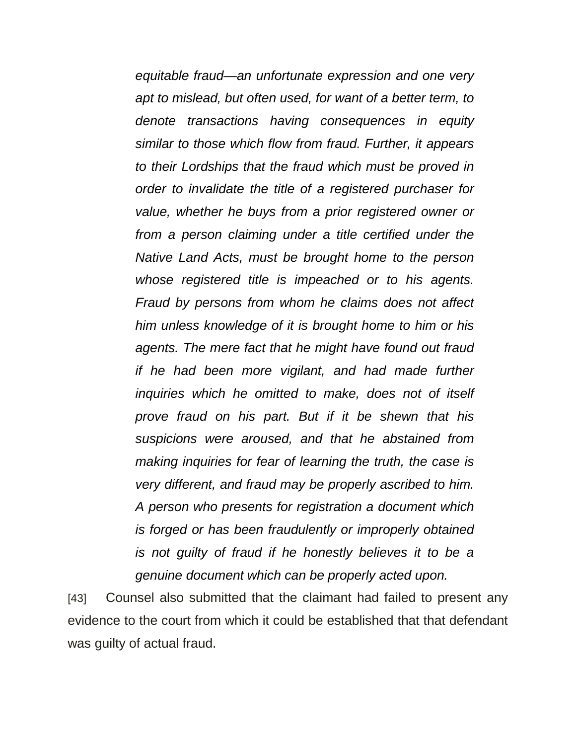*equitable fraud—an unfortunate expression and one very apt to mislead, but often used, for want of a better term, to denote transactions having consequences in equity similar to those which flow from fraud. Further, it appears to their Lordships that the fraud which must be proved in order to invalidate the title of a registered purchaser for value, whether he buys from a prior registered owner or from a person claiming under a title certified under the Native Land Acts, must be brought home to the person whose registered title is impeached or to his agents. Fraud by persons from whom he claims does not affect him unless knowledge of it is brought home to him or his agents. The mere fact that he might have found out fraud if he had been more vigilant, and had made further inquiries which he omitted to make, does not of itself prove fraud on his part. But if it be shewn that his suspicions were aroused, and that he abstained from making inquiries for fear of learning the truth, the case is very different, and fraud may be properly ascribed to him. A person who presents for registration a document which is forged or has been fraudulently or improperly obtained is not guilty of fraud if he honestly believes it to be a genuine document which can be properly acted upon.*

[43] Counsel also submitted that the claimant had failed to present any evidence to the court from which it could be established that that defendant was guilty of actual fraud.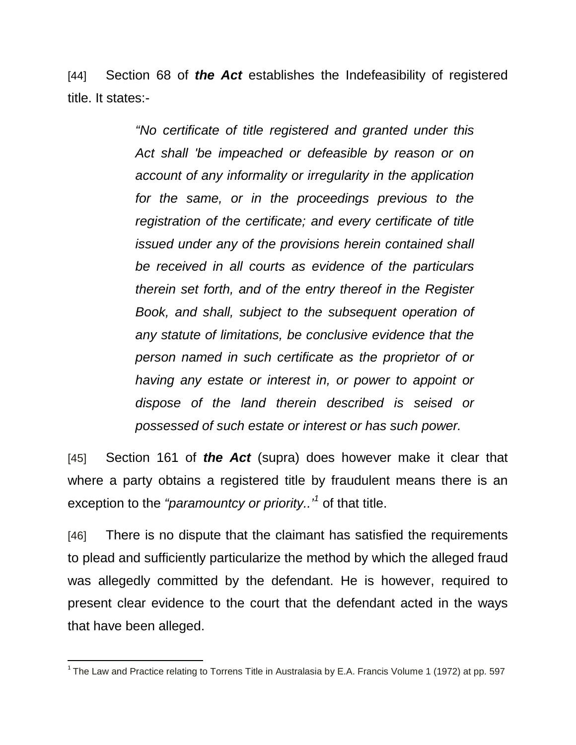[44] Section 68 of *the Act* establishes the Indefeasibility of registered title. It states:-

> *"No certificate of title registered and granted under this Act shall 'be impeached or defeasible by reason or on account of any informality or irregularity in the application for the same, or in the proceedings previous to the registration of the certificate; and every certificate of title issued under any of the provisions herein contained shall be received in all courts as evidence of the particulars therein set forth, and of the entry thereof in the Register Book, and shall, subject to the subsequent operation of any statute of limitations, be conclusive evidence that the person named in such certificate as the proprietor of or having any estate or interest in, or power to appoint or dispose of the land therein described is seised or possessed of such estate or interest or has such power.*

[45] Section 161 of *the Act* (supra) does however make it clear that where a party obtains a registered title by fraudulent means there is an exception to the *"paramountcy or priority..'[1](#page-18-0)* of that title.

[46] There is no dispute that the claimant has satisfied the requirements to plead and sufficiently particularize the method by which the alleged fraud was allegedly committed by the defendant. He is however, required to present clear evidence to the court that the defendant acted in the ways that have been alleged.

<span id="page-18-0"></span> $1$  The Law and Practice relating to Torrens Title in Australasia by E.A. Francis Volume 1 (1972) at pp. 597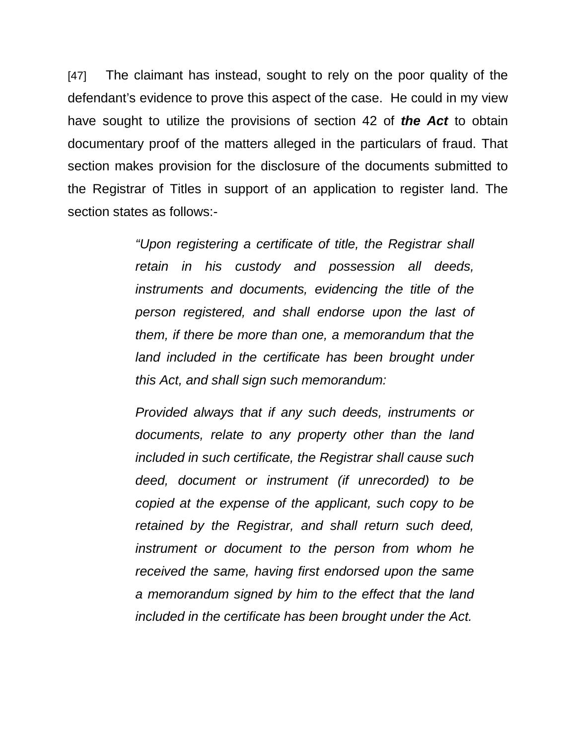[47] The claimant has instead, sought to rely on the poor quality of the defendant's evidence to prove this aspect of the case. He could in my view have sought to utilize the provisions of section 42 of *the Act* to obtain documentary proof of the matters alleged in the particulars of fraud. That section makes provision for the disclosure of the documents submitted to the Registrar of Titles in support of an application to register land. The section states as follows:-

> *"Upon registering a certificate of title, the Registrar shall retain in his custody and possession all deeds, instruments and documents, evidencing the title of the person registered, and shall endorse upon the last of them, if there be more than one, a memorandum that the*  land included in the certificate has been brought under *this Act, and shall sign such memorandum:*

> *Provided always that if any such deeds, instruments or documents, relate to any property other than the land included in such certificate, the Registrar shall cause such deed, document or instrument (if unrecorded) to be copied at the expense of the applicant, such copy to be retained by the Registrar, and shall return such deed, instrument or document to the person from whom he received the same, having first endorsed upon the same a memorandum signed by him to the effect that the land included in the certificate has been brought under the Act.*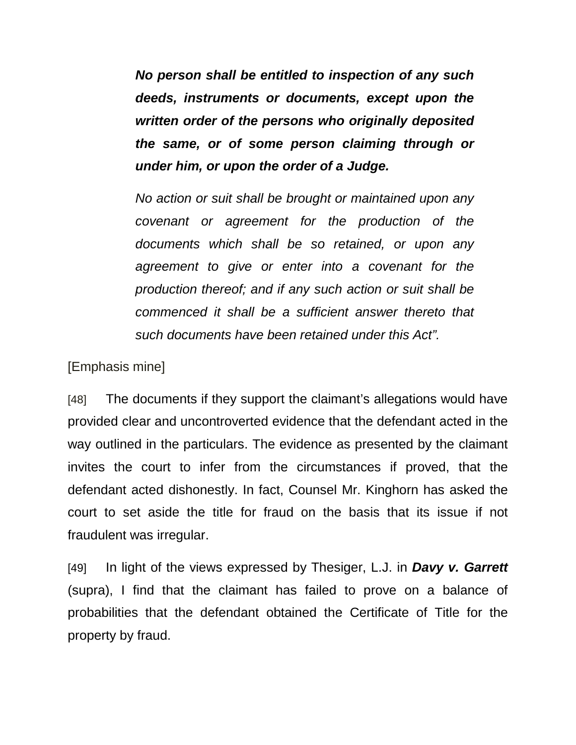*No person shall be entitled to inspection of any such deeds, instruments or documents, except upon the written order of the persons who originally deposited the same, or of some person claiming through or under him, or upon the order of a Judge.* 

*No action or suit shall be brought or maintained upon any covenant or agreement for the production of the documents which shall be so retained, or upon any agreement to give or enter into a covenant for the production thereof; and if any such action or suit shall be commenced it shall be a sufficient answer thereto that such documents have been retained under this Act".*

[Emphasis mine]

[48] The documents if they support the claimant's allegations would have provided clear and uncontroverted evidence that the defendant acted in the way outlined in the particulars. The evidence as presented by the claimant invites the court to infer from the circumstances if proved, that the defendant acted dishonestly. In fact, Counsel Mr. Kinghorn has asked the court to set aside the title for fraud on the basis that its issue if not fraudulent was irregular.

[49] In light of the views expressed by Thesiger, L.J. in *Davy v. Garrett*  (supra), I find that the claimant has failed to prove on a balance of probabilities that the defendant obtained the Certificate of Title for the property by fraud.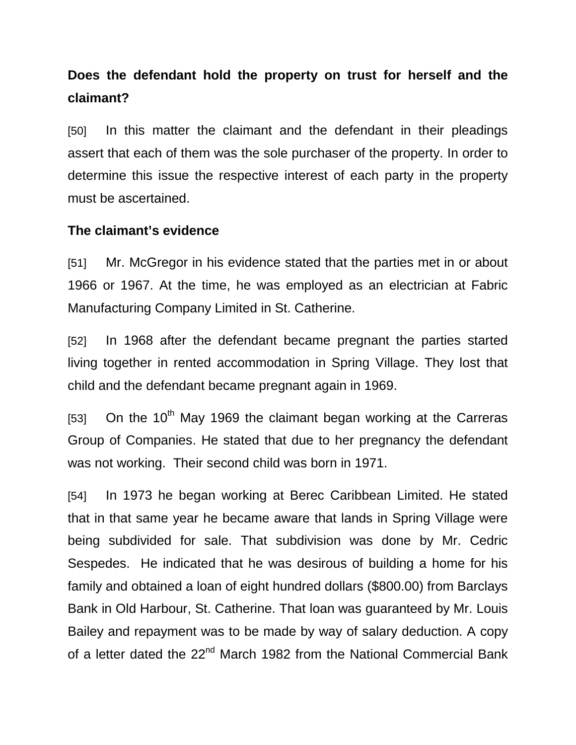## **Does the defendant hold the property on trust for herself and the claimant?**

[50] In this matter the claimant and the defendant in their pleadings assert that each of them was the sole purchaser of the property. In order to determine this issue the respective interest of each party in the property must be ascertained.

#### **The claimant's evidence**

[51] Mr. McGregor in his evidence stated that the parties met in or about 1966 or 1967. At the time, he was employed as an electrician at Fabric Manufacturing Company Limited in St. Catherine.

[52] In 1968 after the defendant became pregnant the parties started living together in rented accommodation in Spring Village. They lost that child and the defendant became pregnant again in 1969.

 $[53]$  On the 10<sup>th</sup> May 1969 the claimant began working at the Carreras Group of Companies. He stated that due to her pregnancy the defendant was not working. Their second child was born in 1971.

[54] In 1973 he began working at Berec Caribbean Limited. He stated that in that same year he became aware that lands in Spring Village were being subdivided for sale. That subdivision was done by Mr. Cedric Sespedes. He indicated that he was desirous of building a home for his family and obtained a loan of eight hundred dollars (\$800.00) from Barclays Bank in Old Harbour, St. Catherine. That loan was guaranteed by Mr. Louis Bailey and repayment was to be made by way of salary deduction. A copy of a letter dated the 22<sup>nd</sup> March 1982 from the National Commercial Bank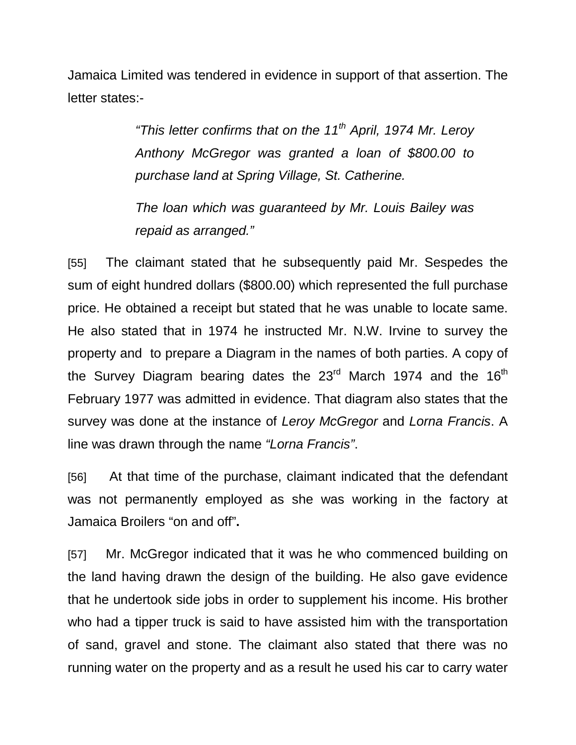Jamaica Limited was tendered in evidence in support of that assertion. The letter states:-

> *"This letter confirms that on the 11th April, 1974 Mr. Leroy Anthony McGregor was granted a loan of \$800.00 to purchase land at Spring Village, St. Catherine.*

> *The loan which was guaranteed by Mr. Louis Bailey was repaid as arranged."*

[55] The claimant stated that he subsequently paid Mr. Sespedes the sum of eight hundred dollars (\$800.00) which represented the full purchase price. He obtained a receipt but stated that he was unable to locate same. He also stated that in 1974 he instructed Mr. N.W. Irvine to survey the property and to prepare a Diagram in the names of both parties. A copy of the Survey Diagram bearing dates the  $23<sup>rd</sup>$  March 1974 and the 16<sup>th</sup> February 1977 was admitted in evidence. That diagram also states that the survey was done at the instance of *Leroy McGregor* and *Lorna Francis*. A line was drawn through the name *"Lorna Francis"*.

[56] At that time of the purchase, claimant indicated that the defendant was not permanently employed as she was working in the factory at Jamaica Broilers "on and off"**.**

[57] Mr. McGregor indicated that it was he who commenced building on the land having drawn the design of the building. He also gave evidence that he undertook side jobs in order to supplement his income. His brother who had a tipper truck is said to have assisted him with the transportation of sand, gravel and stone. The claimant also stated that there was no running water on the property and as a result he used his car to carry water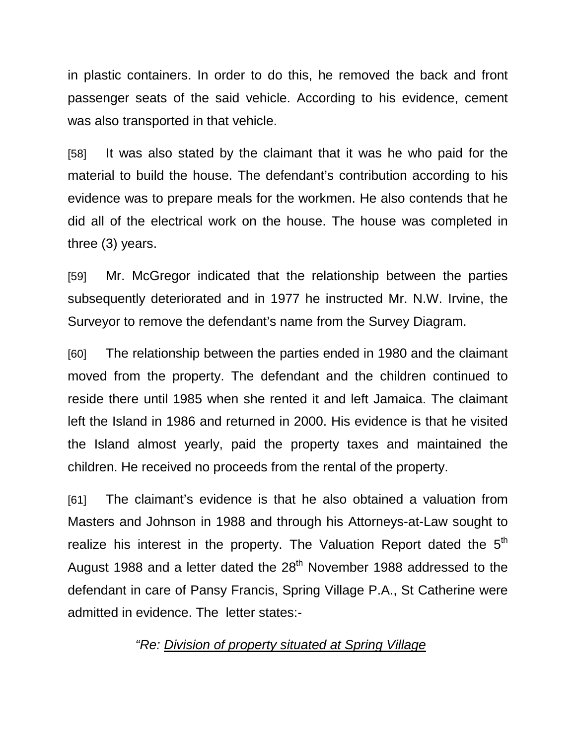in plastic containers. In order to do this, he removed the back and front passenger seats of the said vehicle. According to his evidence, cement was also transported in that vehicle.

[58] It was also stated by the claimant that it was he who paid for the material to build the house. The defendant's contribution according to his evidence was to prepare meals for the workmen. He also contends that he did all of the electrical work on the house. The house was completed in three (3) years.

[59] Mr. McGregor indicated that the relationship between the parties subsequently deteriorated and in 1977 he instructed Mr. N.W. Irvine, the Surveyor to remove the defendant's name from the Survey Diagram.

[60] The relationship between the parties ended in 1980 and the claimant moved from the property. The defendant and the children continued to reside there until 1985 when she rented it and left Jamaica. The claimant left the Island in 1986 and returned in 2000. His evidence is that he visited the Island almost yearly, paid the property taxes and maintained the children. He received no proceeds from the rental of the property.

[61] The claimant's evidence is that he also obtained a valuation from Masters and Johnson in 1988 and through his Attorneys-at-Law sought to realize his interest in the property. The Valuation Report dated the  $5<sup>th</sup>$ August 1988 and a letter dated the 28<sup>th</sup> November 1988 addressed to the defendant in care of Pansy Francis, Spring Village P.A., St Catherine were admitted in evidence. The letter states:-

*"Re: Division of property situated at Spring Village*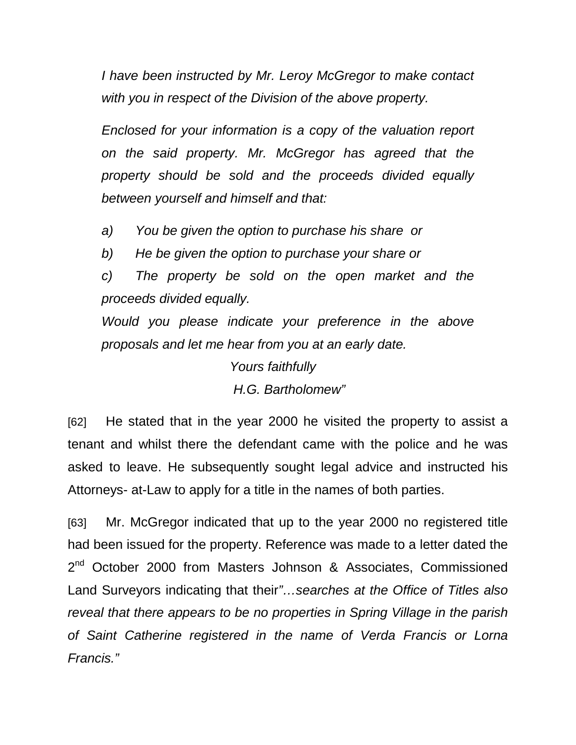*I have been instructed by Mr. Leroy McGregor to make contact with you in respect of the Division of the above property.*

*Enclosed for your information is a copy of the valuation report on the said property. Mr. McGregor has agreed that the property should be sold and the proceeds divided equally between yourself and himself and that:*

*a) You be given the option to purchase his share or*

*b) He be given the option to purchase your share or*

*c) The property be sold on the open market and the proceeds divided equally.* 

*Would you please indicate your preference in the above proposals and let me hear from you at an early date.*

> *Yours faithfully H.G. Bartholomew"*

[62] He stated that in the year 2000 he visited the property to assist a tenant and whilst there the defendant came with the police and he was asked to leave. He subsequently sought legal advice and instructed his Attorneys- at-Law to apply for a title in the names of both parties.

[63] Mr. McGregor indicated that up to the year 2000 no registered title had been issued for the property. Reference was made to a letter dated the 2<sup>nd</sup> October 2000 from Masters Johnson & Associates, Commissioned Land Surveyors indicating that their*"…searches at the Office of Titles also reveal that there appears to be no properties in Spring Village in the parish of Saint Catherine registered in the name of Verda Francis or Lorna Francis."*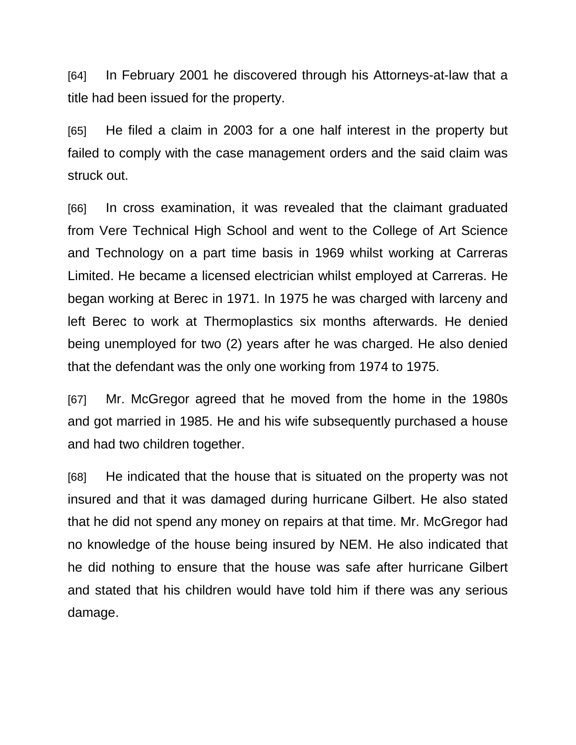[64] In February 2001 he discovered through his Attorneys-at-law that a title had been issued for the property.

[65] He filed a claim in 2003 for a one half interest in the property but failed to comply with the case management orders and the said claim was struck out.

[66] In cross examination, it was revealed that the claimant graduated from Vere Technical High School and went to the College of Art Science and Technology on a part time basis in 1969 whilst working at Carreras Limited. He became a licensed electrician whilst employed at Carreras. He began working at Berec in 1971. In 1975 he was charged with larceny and left Berec to work at Thermoplastics six months afterwards. He denied being unemployed for two (2) years after he was charged. He also denied that the defendant was the only one working from 1974 to 1975.

[67] Mr. McGregor agreed that he moved from the home in the 1980s and got married in 1985. He and his wife subsequently purchased a house and had two children together.

[68] He indicated that the house that is situated on the property was not insured and that it was damaged during hurricane Gilbert. He also stated that he did not spend any money on repairs at that time. Mr. McGregor had no knowledge of the house being insured by NEM. He also indicated that he did nothing to ensure that the house was safe after hurricane Gilbert and stated that his children would have told him if there was any serious damage.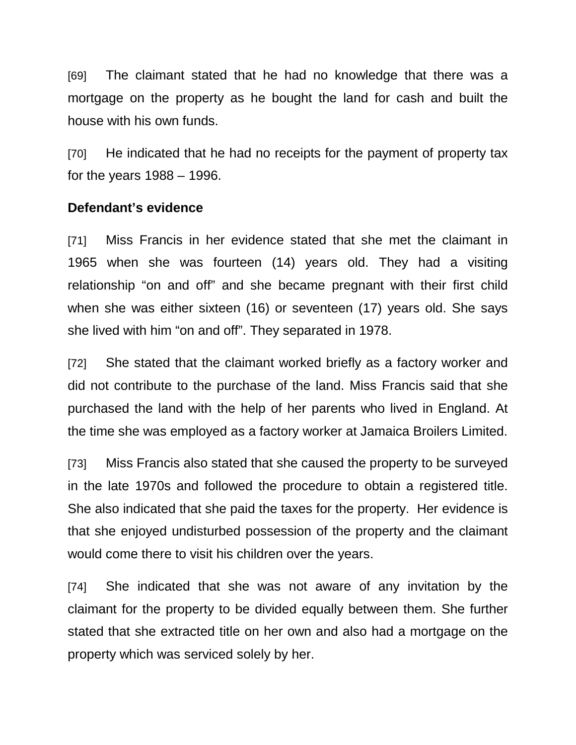[69] The claimant stated that he had no knowledge that there was a mortgage on the property as he bought the land for cash and built the house with his own funds.

[70] He indicated that he had no receipts for the payment of property tax for the years 1988 – 1996.

#### **Defendant's evidence**

[71] Miss Francis in her evidence stated that she met the claimant in 1965 when she was fourteen (14) years old. They had a visiting relationship "on and off" and she became pregnant with their first child when she was either sixteen (16) or seventeen (17) years old. She says she lived with him "on and off". They separated in 1978.

[72] She stated that the claimant worked briefly as a factory worker and did not contribute to the purchase of the land. Miss Francis said that she purchased the land with the help of her parents who lived in England. At the time she was employed as a factory worker at Jamaica Broilers Limited.

[73] Miss Francis also stated that she caused the property to be surveyed in the late 1970s and followed the procedure to obtain a registered title. She also indicated that she paid the taxes for the property. Her evidence is that she enjoyed undisturbed possession of the property and the claimant would come there to visit his children over the years.

[74] She indicated that she was not aware of any invitation by the claimant for the property to be divided equally between them. She further stated that she extracted title on her own and also had a mortgage on the property which was serviced solely by her.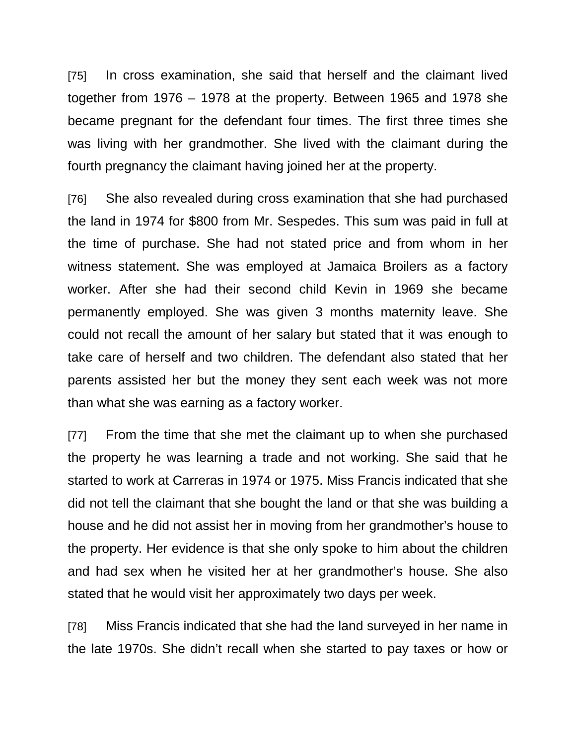[75] In cross examination, she said that herself and the claimant lived together from 1976 – 1978 at the property. Between 1965 and 1978 she became pregnant for the defendant four times. The first three times she was living with her grandmother. She lived with the claimant during the fourth pregnancy the claimant having joined her at the property.

[76] She also revealed during cross examination that she had purchased the land in 1974 for \$800 from Mr. Sespedes. This sum was paid in full at the time of purchase. She had not stated price and from whom in her witness statement. She was employed at Jamaica Broilers as a factory worker. After she had their second child Kevin in 1969 she became permanently employed. She was given 3 months maternity leave. She could not recall the amount of her salary but stated that it was enough to take care of herself and two children. The defendant also stated that her parents assisted her but the money they sent each week was not more than what she was earning as a factory worker.

[77] From the time that she met the claimant up to when she purchased the property he was learning a trade and not working. She said that he started to work at Carreras in 1974 or 1975. Miss Francis indicated that she did not tell the claimant that she bought the land or that she was building a house and he did not assist her in moving from her grandmother's house to the property. Her evidence is that she only spoke to him about the children and had sex when he visited her at her grandmother's house. She also stated that he would visit her approximately two days per week.

[78] Miss Francis indicated that she had the land surveyed in her name in the late 1970s. She didn't recall when she started to pay taxes or how or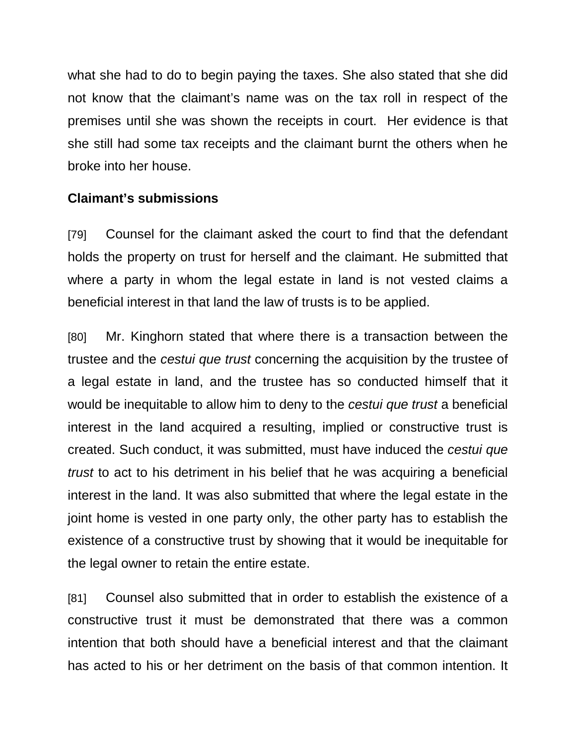what she had to do to begin paying the taxes. She also stated that she did not know that the claimant's name was on the tax roll in respect of the premises until she was shown the receipts in court. Her evidence is that she still had some tax receipts and the claimant burnt the others when he broke into her house.

### **Claimant's submissions**

[79] Counsel for the claimant asked the court to find that the defendant holds the property on trust for herself and the claimant. He submitted that where a party in whom the legal estate in land is not vested claims a beneficial interest in that land the law of trusts is to be applied.

[80] Mr. Kinghorn stated that where there is a transaction between the trustee and the *cestui que trust* concerning the acquisition by the trustee of a legal estate in land, and the trustee has so conducted himself that it would be inequitable to allow him to deny to the *cestui que trust* a beneficial interest in the land acquired a resulting, implied or constructive trust is created. Such conduct, it was submitted, must have induced the *cestui que trust* to act to his detriment in his belief that he was acquiring a beneficial interest in the land. It was also submitted that where the legal estate in the joint home is vested in one party only, the other party has to establish the existence of a constructive trust by showing that it would be inequitable for the legal owner to retain the entire estate.

[81] Counsel also submitted that in order to establish the existence of a constructive trust it must be demonstrated that there was a common intention that both should have a beneficial interest and that the claimant has acted to his or her detriment on the basis of that common intention. It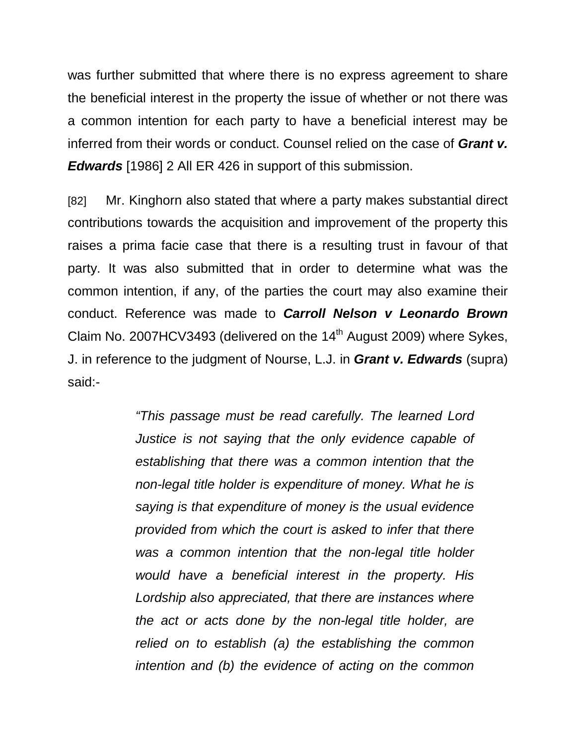was further submitted that where there is no express agreement to share the beneficial interest in the property the issue of whether or not there was a common intention for each party to have a beneficial interest may be inferred from their words or conduct. Counsel relied on the case of *Grant v. Edwards* [1986] 2 All ER 426 in support of this submission.

[82] Mr. Kinghorn also stated that where a party makes substantial direct contributions towards the acquisition and improvement of the property this raises a prima facie case that there is a resulting trust in favour of that party. It was also submitted that in order to determine what was the common intention, if any, of the parties the court may also examine their conduct. Reference was made to *Carroll Nelson v Leonardo Brown* Claim No. 2007HCV3493 (delivered on the 14<sup>th</sup> August 2009) where Sykes, J. in reference to the judgment of Nourse, L.J. in *Grant v. Edwards* (supra) said:-

> *"This passage must be read carefully. The learned Lord Justice is not saying that the only evidence capable of establishing that there was a common intention that the non-legal title holder is expenditure of money. What he is saying is that expenditure of money is the usual evidence provided from which the court is asked to infer that there was a common intention that the non-legal title holder would have a beneficial interest in the property. His Lordship also appreciated, that there are instances where the act or acts done by the non-legal title holder, are relied on to establish (a) the establishing the common intention and (b) the evidence of acting on the common*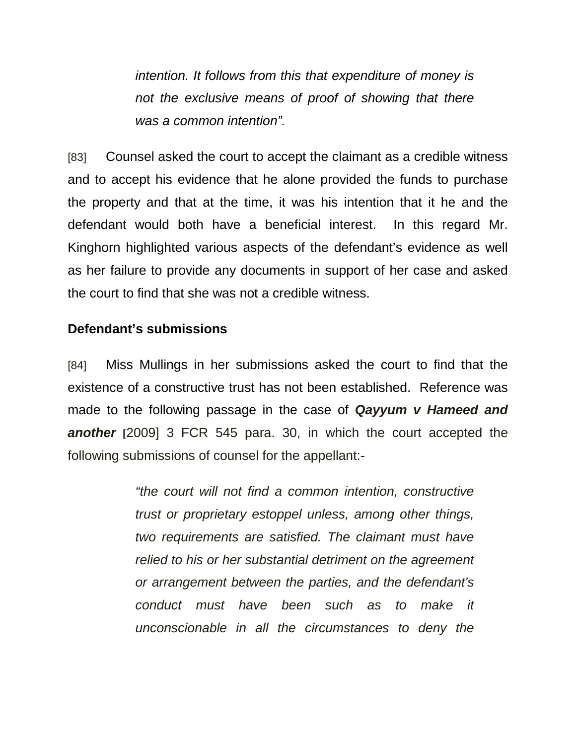*intention. It follows from this that expenditure of money is not the exclusive means of proof of showing that there was a common intention".*

[83] Counsel asked the court to accept the claimant as a credible witness and to accept his evidence that he alone provided the funds to purchase the property and that at the time, it was his intention that it he and the defendant would both have a beneficial interest. In this regard Mr. Kinghorn highlighted various aspects of the defendant's evidence as well as her failure to provide any documents in support of her case and asked the court to find that she was not a credible witness.

#### **Defendant's submissions**

[84] Miss Mullings in her submissions asked the court to find that the existence of a constructive trust has not been established. Reference was made to the following passage in the case of *Qayyum v Hameed and another* **[**2009] 3 FCR 545 para. 30, in which the court accepted the following submissions of counsel for the appellant:-

> *"the court will not find a common intention, constructive trust or proprietary estoppel unless, among other things, two requirements are satisfied. The claimant must have relied to his or her substantial detriment on the agreement or arrangement between the parties, and the defendant's conduct must have been such as to make it unconscionable in all the circumstances to deny the*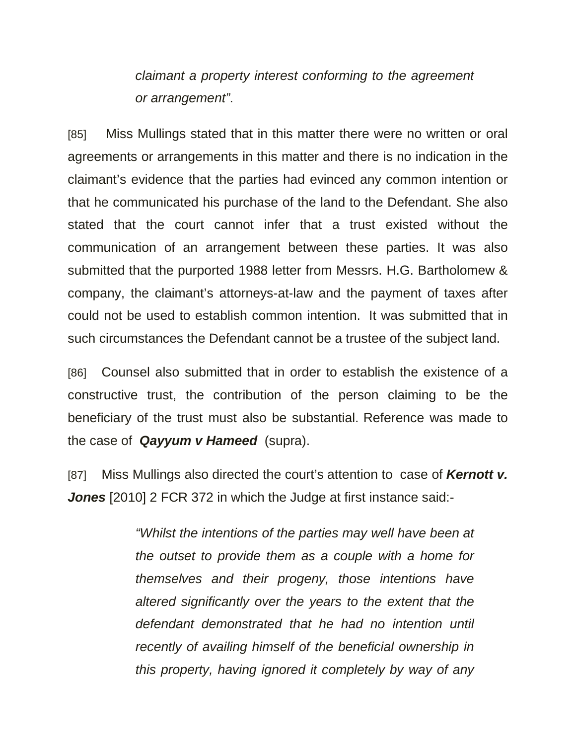*claimant a property interest conforming to the agreement or arrangement"*.

[85] Miss Mullings stated that in this matter there were no written or oral agreements or arrangements in this matter and there is no indication in the claimant's evidence that the parties had evinced any common intention or that he communicated his purchase of the land to the Defendant. She also stated that the court cannot infer that a trust existed without the communication of an arrangement between these parties. It was also submitted that the purported 1988 letter from Messrs. H.G. Bartholomew & company, the claimant's attorneys-at-law and the payment of taxes after could not be used to establish common intention. It was submitted that in such circumstances the Defendant cannot be a trustee of the subject land.

[86] Counsel also submitted that in order to establish the existence of a constructive trust, the contribution of the person claiming to be the beneficiary of the trust must also be substantial. Reference was made to the case of *Qayyum v Hameed* (supra).

[87] Miss Mullings also directed the court's attention to case of *Kernott v. Jones* [2010] 2 FCR 372 in which the Judge at first instance said:-

> *"Whilst the intentions of the parties may well have been at the outset to provide them as a couple with a home for themselves and their progeny, those intentions have altered significantly over the years to the extent that the defendant demonstrated that he had no intention until recently of availing himself of the beneficial ownership in this property, having ignored it completely by way of any*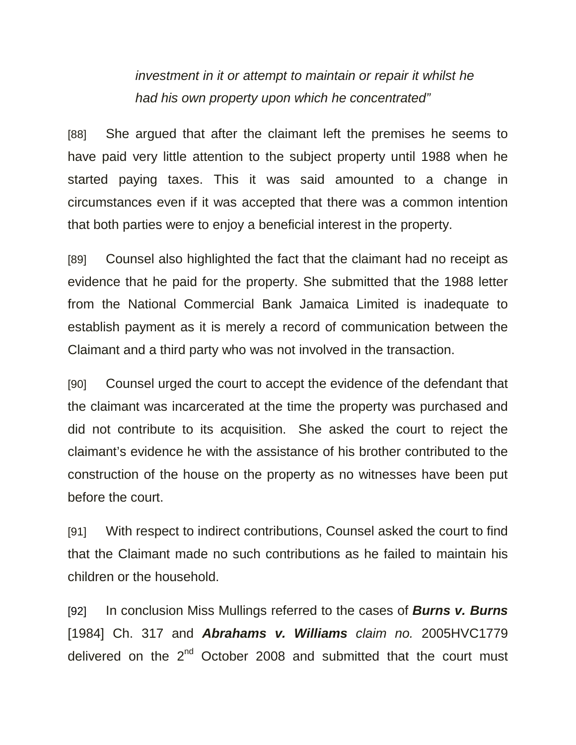## *investment in it or attempt to maintain or repair it whilst he had his own property upon which he concentrated"*

[88] She argued that after the claimant left the premises he seems to have paid very little attention to the subject property until 1988 when he started paying taxes. This it was said amounted to a change in circumstances even if it was accepted that there was a common intention that both parties were to enjoy a beneficial interest in the property.

[89] Counsel also highlighted the fact that the claimant had no receipt as evidence that he paid for the property. She submitted that the 1988 letter from the National Commercial Bank Jamaica Limited is inadequate to establish payment as it is merely a record of communication between the Claimant and a third party who was not involved in the transaction.

[90] Counsel urged the court to accept the evidence of the defendant that the claimant was incarcerated at the time the property was purchased and did not contribute to its acquisition. She asked the court to reject the claimant's evidence he with the assistance of his brother contributed to the construction of the house on the property as no witnesses have been put before the court.

[91] With respect to indirect contributions, Counsel asked the court to find that the Claimant made no such contributions as he failed to maintain his children or the household.

[92] In conclusion Miss Mullings referred to the cases of *Burns v. Burns* [1984] Ch. 317 and *Abrahams v. Williams claim no.* 2005HVC1779 delivered on the  $2<sup>nd</sup>$  October 2008 and submitted that the court must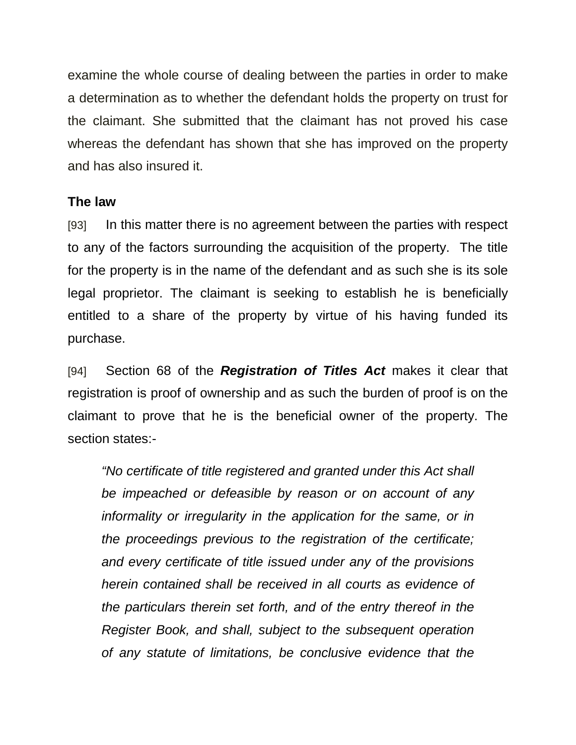examine the whole course of dealing between the parties in order to make a determination as to whether the defendant holds the property on trust for the claimant. She submitted that the claimant has not proved his case whereas the defendant has shown that she has improved on the property and has also insured it.

#### **The law**

[93] In this matter there is no agreement between the parties with respect to any of the factors surrounding the acquisition of the property. The title for the property is in the name of the defendant and as such she is its sole legal proprietor. The claimant is seeking to establish he is beneficially entitled to a share of the property by virtue of his having funded its purchase.

[94] Section 68 of the *Registration of Titles Act* makes it clear that registration is proof of ownership and as such the burden of proof is on the claimant to prove that he is the beneficial owner of the property. The section states:-

*"No certificate of title registered and granted under this Act shall be impeached or defeasible by reason or on account of any informality or irregularity in the application for the same, or in the proceedings previous to the registration of the certificate; and every certificate of title issued under any of the provisions herein contained shall be received in all courts as evidence of the particulars therein set forth, and of the entry thereof in the Register Book, and shall, subject to the subsequent operation of any statute of limitations, be conclusive evidence that the*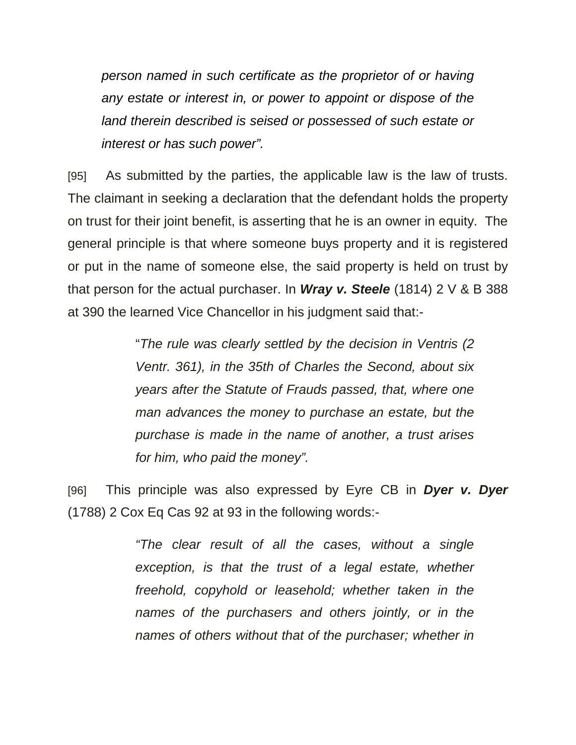*person named in such certificate as the proprietor of or having any estate or interest in, or power to appoint or dispose of the land therein described is seised or possessed of such estate or interest or has such power".* 

[95] As submitted by the parties, the applicable law is the law of trusts. The claimant in seeking a declaration that the defendant holds the property on trust for their joint benefit, is asserting that he is an owner in equity. The general principle is that where someone buys property and it is registered or put in the name of someone else, the said property is held on trust by that person for the actual purchaser. In *Wray v. Steele* (1814) 2 V & B 388 at 390 the learned Vice Chancellor in his judgment said that:-

> "*The rule was clearly settled by the decision in Ventris (2 Ventr. 361), in the 35th of Charles the Second, about six years after the Statute of Frauds passed, that, where one man advances the money to purchase an estate, but the purchase is made in the name of another, a trust arises for him, who paid the money".*

[96] This principle was also expressed by Eyre CB in *Dyer v. Dyer*  (1788) 2 Cox Eq Cas 92 at 93 in the following words:-

> *"The clear result of all the cases, without a single exception, is that the trust of a legal estate, whether freehold, copyhold or leasehold; whether taken in the names of the purchasers and others jointly, or in the names of others without that of the purchaser; whether in*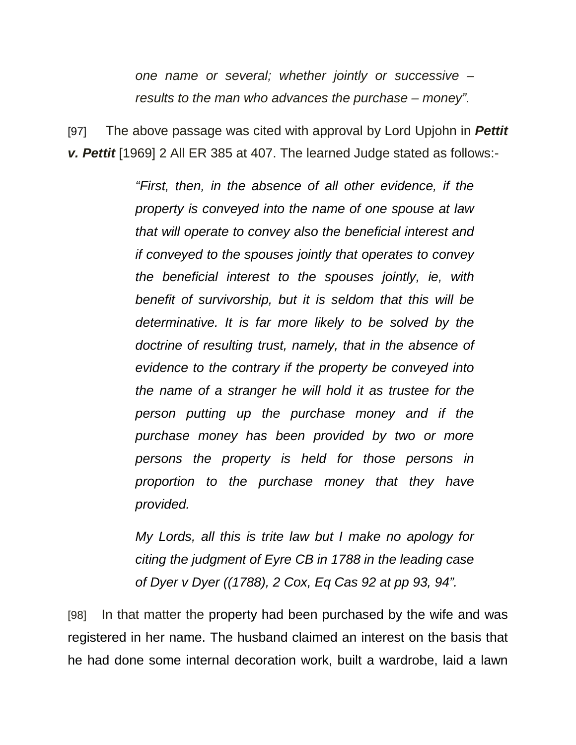*one name or several; whether jointly or successive – results to the man who advances the purchase – money".*

[97] The above passage was cited with approval by Lord Upjohn in *Pettit v. Pettit* [1969] 2 All ER 385 at 407. The learned Judge stated as follows:-

> *"First, then, in the absence of all other evidence, if the property is conveyed into the name of one spouse at law that will operate to convey also the beneficial interest and if conveyed to the spouses jointly that operates to convey the beneficial interest to the spouses jointly, ie, with benefit of survivorship, but it is seldom that this will be determinative. It is far more likely to be solved by the doctrine of resulting trust, namely, that in the absence of evidence to the contrary if the property be conveyed into the name of a stranger he will hold it as trustee for the person putting up the purchase money and if the purchase money has been provided by two or more persons the property is held for those persons in proportion to the purchase money that they have provided.*

> *My Lords, all this is trite law but I make no apology for citing the judgment of Eyre CB in 1788 in the leading case of Dyer v Dyer ((1788), 2 Cox, Eq Cas 92 at pp 93, 94".*

[98] In that matter the property had been purchased by the wife and was registered in her name. The husband claimed an interest on the basis that he had done some internal decoration work, built a wardrobe, laid a lawn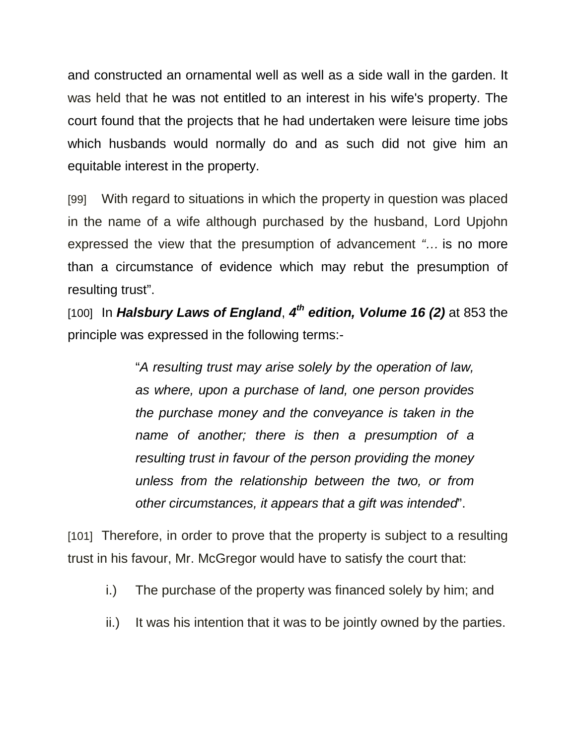and constructed an ornamental well as well as a side wall in the garden. It was held that he was not entitled to an interest in his wife's property. The court found that the projects that he had undertaken were leisure time jobs which husbands would normally do and as such did not give him an equitable interest in the property.

[99] With regard to situations in which the property in question was placed in the name of a wife although purchased by the husband, Lord Upjohn expressed the view that the presumption of advancement *"…* is no more than a circumstance of evidence which may rebut the presumption of resulting trust".

[100] In *Halsbury Laws of England*, *4th edition, Volume 16 (2)* at 853 the principle was expressed in the following terms:-

> "*A resulting trust may arise solely by the operation of law, as where, upon a purchase of land, one person provides the purchase money and the conveyance is taken in the name of another; there is then a presumption of a resulting trust in favour of the person providing the money unless from the relationship between the two, or from other circumstances, it appears that a gift was intended*".

[101] Therefore, in order to prove that the property is subject to a resulting trust in his favour, Mr. McGregor would have to satisfy the court that:

- i.) The purchase of the property was financed solely by him; and
- ii.) It was his intention that it was to be jointly owned by the parties.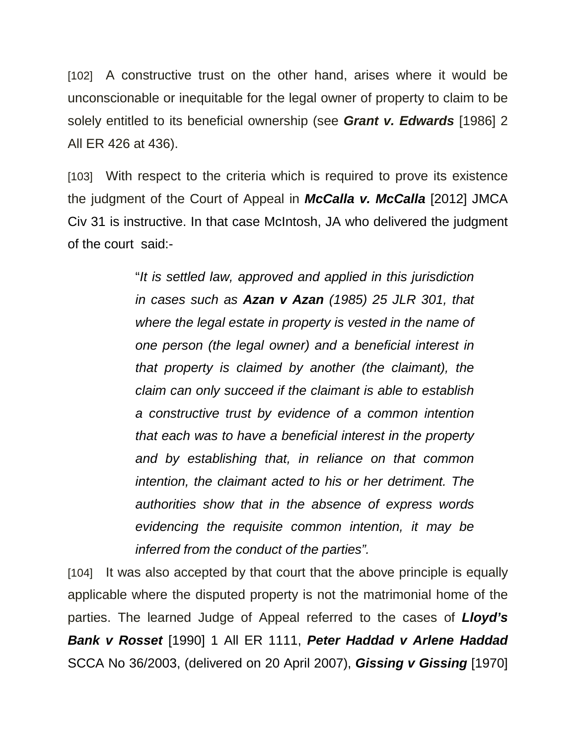[102] A constructive trust on the other hand, arises where it would be unconscionable or inequitable for the legal owner of property to claim to be solely entitled to its beneficial ownership (see *Grant v. Edwards* [1986] 2 All ER 426 at 436).

[103] With respect to the criteria which is required to prove its existence the judgment of the Court of Appeal in *McCalla v. McCalla* [2012] JMCA Civ 31 is instructive. In that case McIntosh, JA who delivered the judgment of the court said:-

> "*It is settled law, approved and applied in this jurisdiction in cases such as Azan v Azan (1985) 25 JLR 301, that where the legal estate in property is vested in the name of one person (the legal owner) and a beneficial interest in that property is claimed by another (the claimant), the claim can only succeed if the claimant is able to establish a constructive trust by evidence of a common intention that each was to have a beneficial interest in the property and by establishing that, in reliance on that common intention, the claimant acted to his or her detriment. The authorities show that in the absence of express words evidencing the requisite common intention, it may be inferred from the conduct of the parties".*

[104] It was also accepted by that court that the above principle is equally applicable where the disputed property is not the matrimonial home of the parties. The learned Judge of Appeal referred to the cases of *Lloyd's Bank v Rosset* [1990] 1 All ER 1111, *Peter Haddad v Arlene Haddad*  SCCA No 36/2003, (delivered on 20 April 2007), *Gissing v Gissing* [1970]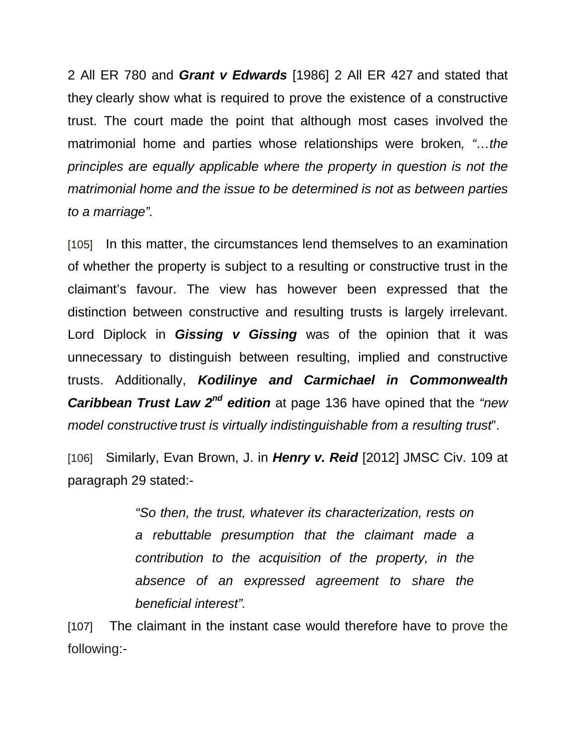2 All ER 780 and *Grant v Edwards* [1986] 2 All ER 427 and stated that they clearly show what is required to prove the existence of a constructive trust. The court made the point that although most cases involved the matrimonial home and parties whose relationships were broken*, "…the principles are equally applicable where the property in question is not the matrimonial home and the issue to be determined is not as between parties to a marriage".* 

[105] In this matter, the circumstances lend themselves to an examination of whether the property is subject to a resulting or constructive trust in the claimant's favour. The view has however been expressed that the distinction between constructive and resulting trusts is largely irrelevant. Lord Diplock in *Gissing v Gissing* was of the opinion that it was unnecessary to distinguish between resulting, implied and constructive trusts. Additionally, *Kodilinye and Carmichael in Commonwealth Caribbean Trust Law 2nd edition* at page 136 have opined that the *"new model constructive trust is virtually indistinguishable from a resulting trust*".

[106] Similarly, Evan Brown, J. in *Henry v. Reid* [2012] JMSC Civ. 109 at paragraph 29 stated:-

> *"So then, the trust, whatever its characterization, rests on a rebuttable presumption that the claimant made a contribution to the acquisition of the property, in the absence of an expressed agreement to share the beneficial interest".*

[107] The claimant in the instant case would therefore have to prove the following:-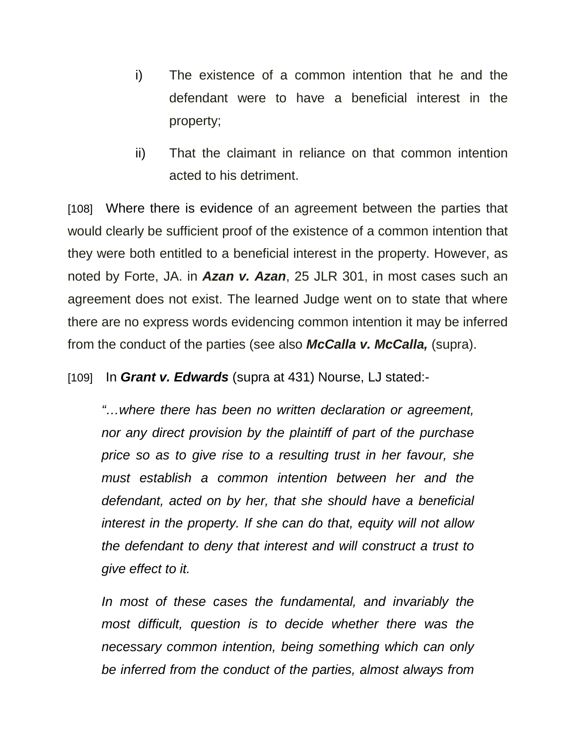- i) The existence of a common intention that he and the defendant were to have a beneficial interest in the property;
- ii) That the claimant in reliance on that common intention acted to his detriment.

[108] Where there is evidence of an agreement between the parties that would clearly be sufficient proof of the existence of a common intention that they were both entitled to a beneficial interest in the property. However, as noted by Forte, JA. in *Azan v. Azan*, 25 JLR 301, in most cases such an agreement does not exist. The learned Judge went on to state that where there are no express words evidencing common intention it may be inferred from the conduct of the parties (see also *McCalla v. McCalla,* (supra).

[109] In *Grant v. Edwards* (supra at 431) Nourse, LJ stated:-

*"…where there has been no written declaration or agreement, nor any direct provision by the plaintiff of part of the purchase price so as to give rise to a resulting trust in her favour, she must establish a common intention between her and the defendant, acted on by her, that she should have a beneficial interest in the property. If she can do that, equity will not allow the defendant to deny that interest and will construct a trust to give effect to it.*

*In most of these cases the fundamental, and invariably the most difficult, question is to decide whether there was the necessary common intention, being something which can only be inferred from the conduct of the parties, almost always from*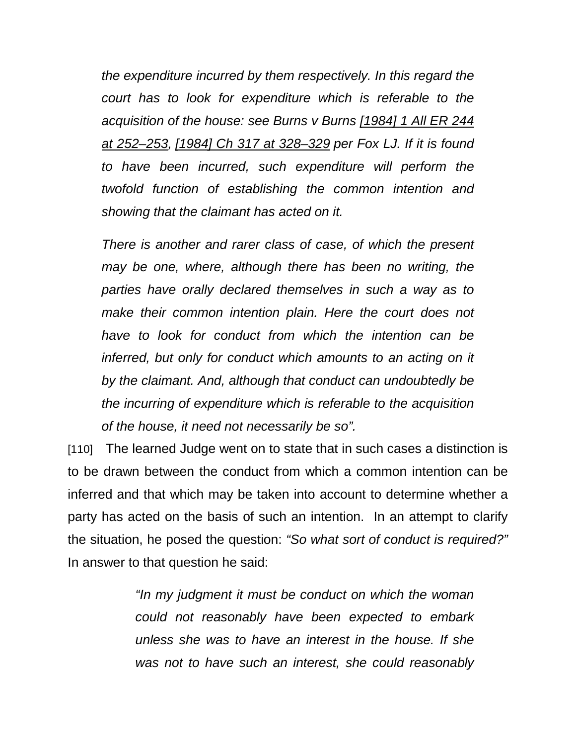*the expenditure incurred by them respectively. In this regard the court has to look for expenditure which is referable to the acquisition of the house: see Burns v Burns [\[1984\] 1 All ER 244](http://www.lexisnexis.com/uk/legal/search/runRemoteLink.do?A=0.7852903556191725&bct=A&service=citation&risb=21_T18445145305&langcountry=GB&linkInfo=F%23GB%23ALLER%23vol%251%25sel1%251984%25page%25244%25year%251984%25tpage%25252%25sel2%251%25)  [at 252–253,](http://www.lexisnexis.com/uk/legal/search/runRemoteLink.do?A=0.7852903556191725&bct=A&service=citation&risb=21_T18445145305&langcountry=GB&linkInfo=F%23GB%23ALLER%23vol%251%25sel1%251984%25page%25244%25year%251984%25tpage%25252%25sel2%251%25) [\[1984\] Ch 317 at 328–329](http://www.lexisnexis.com/uk/legal/search/runRemoteLink.do?A=0.5117667662023722&bct=A&service=citation&risb=21_T18445145305&langcountry=GB&linkInfo=F%23GB%23CH%23sel1%251984%25page%25317%25year%251984%25tpage%25328%25) per Fox LJ. If it is found to have been incurred, such expenditure will perform the twofold function of establishing the common intention and showing that the claimant has acted on it.*

*There is another and rarer class of case, of which the present may be one, where, although there has been no writing, the parties have orally declared themselves in such a way as to make their common intention plain. Here the court does not have to look for conduct from which the intention can be inferred, but only for conduct which amounts to an acting on it by the claimant. And, although that conduct can undoubtedly be the incurring of expenditure which is referable to the acquisition of the house, it need not necessarily be so".*

[110] The learned Judge went on to state that in such cases a distinction is to be drawn between the conduct from which a common intention can be inferred and that which may be taken into account to determine whether a party has acted on the basis of such an intention. In an attempt to clarify the situation, he posed the question: *"So what sort of conduct is required?"*  In answer to that question he said:

> *"In my judgment it must be conduct on which the woman could not reasonably have been expected to embark unless she was to have an interest in the house. If she was not to have such an interest, she could reasonably*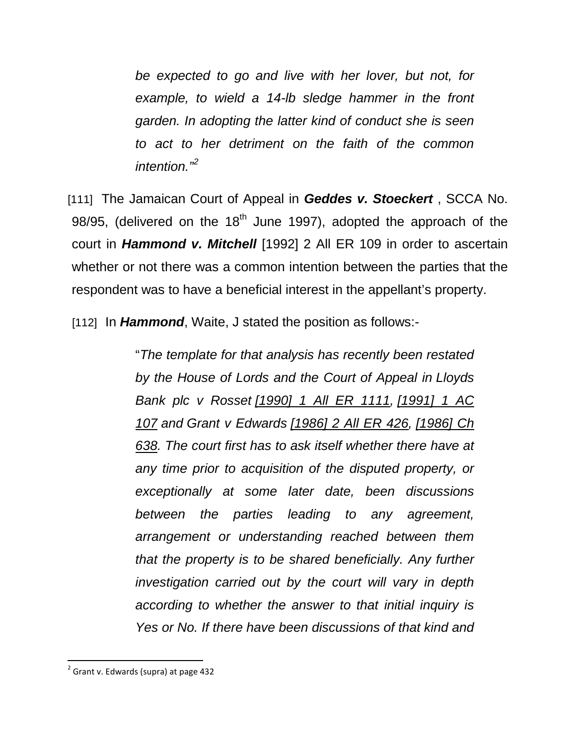*be expected to go and live with her lover, but not, for example, to wield a 14-lb sledge hammer in the front garden. In adopting the latter kind of conduct she is seen to act to her detriment on the faith of the common intention."[2](#page-41-0)*

[111] The Jamaican Court of Appeal in *Geddes v. Stoeckert* , SCCA No. 98/95, (delivered on the  $18<sup>th</sup>$  June 1997), adopted the approach of the court in *Hammond v. Mitchell* [1992] 2 All ER 109 in order to ascertain whether or not there was a common intention between the parties that the respondent was to have a beneficial interest in the appellant's property.

[112] In *Hammond*, Waite, J stated the position as follows:-

"*The template for that analysis has recently been restated by the House of Lords and the Court of Appeal in Lloyds Bank plc v Rosset [\[1990\] 1 All ER 1111,](http://www.lexisnexis.com/uk/legal/search/runRemoteLink.do?A=0.8815551623290159&bct=A&service=citation&risb=21_T18333125712&langcountry=GB&linkInfo=F%23GB%23ALLER%23vol%251%25sel1%251990%25page%251111%25year%251990%25sel2%251%25) [\[1991\] 1 AC](http://www.lexisnexis.com/uk/legal/search/runRemoteLink.do?A=0.8082683657651457&bct=A&service=citation&risb=21_T18333125712&langcountry=GB&linkInfo=F%23GB%23AC%23vol%251%25sel1%251991%25page%25107%25year%251991%25sel2%251%25)  [107](http://www.lexisnexis.com/uk/legal/search/runRemoteLink.do?A=0.8082683657651457&bct=A&service=citation&risb=21_T18333125712&langcountry=GB&linkInfo=F%23GB%23AC%23vol%251%25sel1%251991%25page%25107%25year%251991%25sel2%251%25) and Grant v Edwards [\[1986\] 2 All ER 426,](http://www.lexisnexis.com/uk/legal/search/runRemoteLink.do?A=0.3589113745094784&bct=A&service=citation&risb=21_T18333125712&langcountry=GB&linkInfo=F%23GB%23ALLER%23vol%252%25sel1%251986%25page%25426%25year%251986%25sel2%252%25) [\[1986\] Ch](http://www.lexisnexis.com/uk/legal/search/runRemoteLink.do?A=0.1586232554999285&bct=A&service=citation&risb=21_T18333125712&langcountry=GB&linkInfo=F%23GB%23CH%23sel1%251986%25page%25638%25year%251986%25)  [638.](http://www.lexisnexis.com/uk/legal/search/runRemoteLink.do?A=0.1586232554999285&bct=A&service=citation&risb=21_T18333125712&langcountry=GB&linkInfo=F%23GB%23CH%23sel1%251986%25page%25638%25year%251986%25) The court first has to ask itself whether there have at any time prior to acquisition of the disputed property, or exceptionally at some later date, been discussions between the parties leading to any agreement, arrangement or understanding reached between them that the property is to be shared beneficially. Any further investigation carried out by the court will vary in depth according to whether the answer to that initial inquiry is Yes or No. If there have been discussions of that kind and* 

<span id="page-41-0"></span> $2$  Grant v. Edwards (supra) at page 432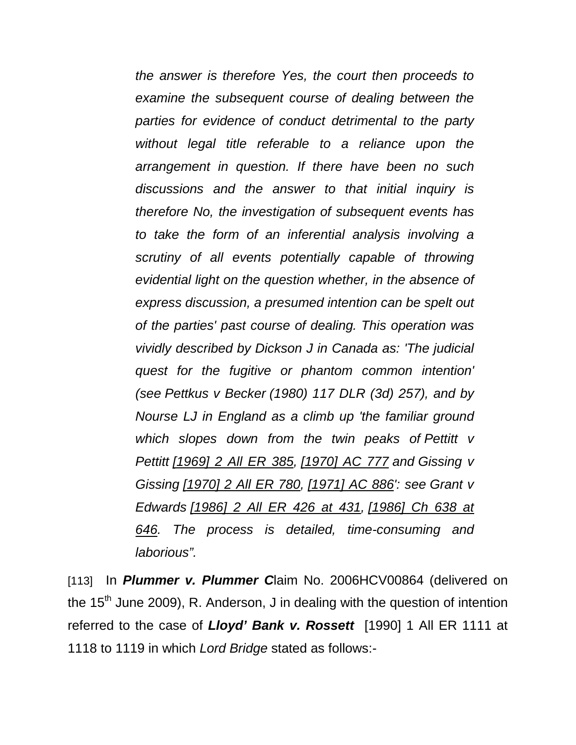*the answer is therefore Yes, the court then proceeds to examine the subsequent course of dealing between the parties for evidence of conduct detrimental to the party without legal title referable to a reliance upon the arrangement in question. If there have been no such discussions and the answer to that initial inquiry is therefore No, the investigation of subsequent events has to take the form of an inferential analysis involving a scrutiny of all events potentially capable of throwing evidential light on the question whether, in the absence of express discussion, a presumed intention can be spelt out of the parties' past course of dealing. This operation was vividly described by Dickson J in Canada as: 'The judicial quest for the fugitive or phantom common intention' (see Pettkus v Becker (1980) 117 DLR (3d) 257), and by Nourse LJ in England as a climb up 'the familiar ground which slopes down from the twin peaks of Pettitt v Pettitt [\[1969\] 2 All ER 385,](http://www.lexisnexis.com/uk/legal/search/runRemoteLink.do?A=0.8770515730655928&bct=A&service=citation&risb=21_T18333125712&langcountry=GB&linkInfo=F%23GB%23ALLER%23vol%252%25sel1%251969%25page%25385%25year%251969%25sel2%252%25) [\[1970\] AC 777](http://www.lexisnexis.com/uk/legal/search/runRemoteLink.do?A=0.33174084527539116&bct=A&service=citation&risb=21_T18333125712&langcountry=GB&linkInfo=F%23GB%23AC%23sel1%251970%25page%25777%25year%251970%25) and Gissing v Gissing [\[1970\] 2 All ER 780,](http://www.lexisnexis.com/uk/legal/search/runRemoteLink.do?A=0.6385509156841802&bct=A&service=citation&risb=21_T18333125712&langcountry=GB&linkInfo=F%23GB%23ALLER%23vol%252%25sel1%251970%25page%25780%25year%251970%25sel2%252%25) [\[1971\] AC 886](http://www.lexisnexis.com/uk/legal/search/runRemoteLink.do?A=0.8751601096779853&bct=A&service=citation&risb=21_T18333125712&langcountry=GB&linkInfo=F%23GB%23AC%23sel1%251971%25page%25886%25year%251971%25)': see Grant v Edwards [\[1986\] 2 All ER 426 at 431,](http://www.lexisnexis.com/uk/legal/search/runRemoteLink.do?A=0.6823180781893018&bct=A&service=citation&risb=21_T18333125712&langcountry=GB&linkInfo=F%23GB%23ALLER%23vol%252%25sel1%251986%25page%25426%25year%251986%25tpage%25431%25sel2%252%25) [\[1986\] Ch 638 at](http://www.lexisnexis.com/uk/legal/search/runRemoteLink.do?A=0.13877042093683123&bct=A&service=citation&risb=21_T18333125712&langcountry=GB&linkInfo=F%23GB%23CH%23sel1%251986%25page%25638%25year%251986%25tpage%25646%25)  [646.](http://www.lexisnexis.com/uk/legal/search/runRemoteLink.do?A=0.13877042093683123&bct=A&service=citation&risb=21_T18333125712&langcountry=GB&linkInfo=F%23GB%23CH%23sel1%251986%25page%25638%25year%251986%25tpage%25646%25) The process is detailed, time-consuming and laborious".*

[113] In *Plummer v. Plummer C*laim No. 2006HCV00864 (delivered on the  $15<sup>th</sup>$  June 2009), R. Anderson, J in dealing with the question of intention referred to the case of *Lloyd' Bank v. Rossett* [1990] 1 All ER 1111 at 1118 to 1119 in which *Lord Bridge* stated as follows:-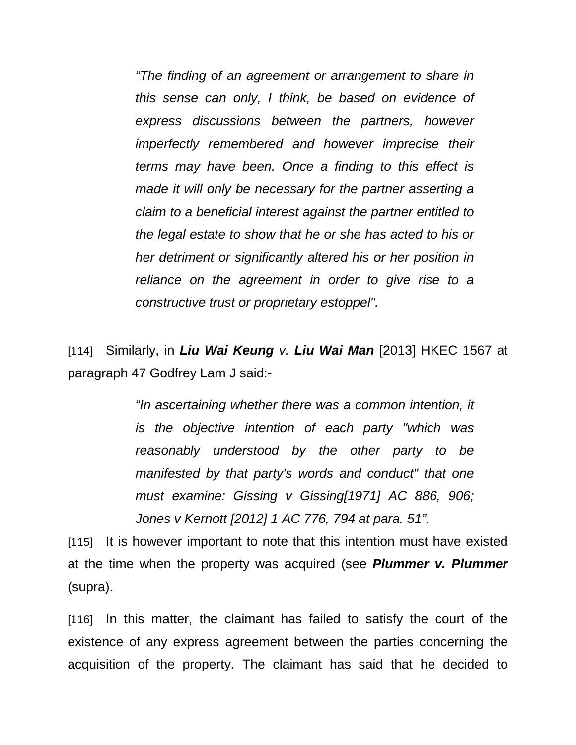*"The finding of an agreement or arrangement to share in this sense can only, I think, be based on evidence of express discussions between the partners, however imperfectly remembered and however imprecise their terms may have been. Once a finding to this effect is made it will only be necessary for the partner asserting a claim to a beneficial interest against the partner entitled to the legal estate to show that he or she has acted to his or her detriment or significantly altered his or her position in reliance on the agreement in order to give rise to a constructive trust or proprietary estoppel".*

[114] Similarly, in *Liu Wai Keung v. Liu Wai Man* [2013] HKEC 1567 at paragraph 47 Godfrey Lam J said:-

> *"In ascertaining whether there was a common intention, it is the objective intention of each party "which was reasonably understood by the other party to be manifested by that party's words and conduct" that one must examine: Gissing v Gissing[1971] AC 886, 906; Jones v Kernott [2012] 1 AC 776, 794 at para. 51".*

[115] It is however important to note that this intention must have existed at the time when the property was acquired (see *Plummer v. Plummer*  (supra).

[116] In this matter, the claimant has failed to satisfy the court of the existence of any express agreement between the parties concerning the acquisition of the property. The claimant has said that he decided to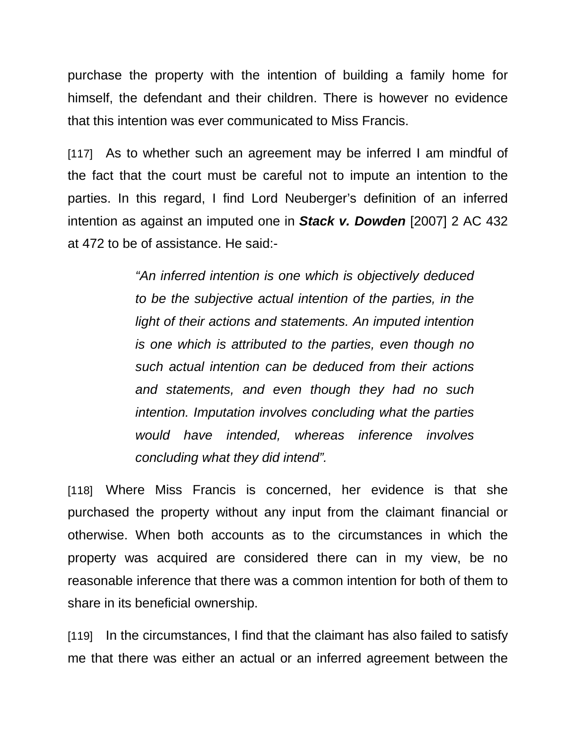purchase the property with the intention of building a family home for himself, the defendant and their children. There is however no evidence that this intention was ever communicated to Miss Francis.

[117] As to whether such an agreement may be inferred I am mindful of the fact that the court must be careful not to impute an intention to the parties. In this regard, I find Lord Neuberger's definition of an inferred intention as against an imputed one in *Stack v. Dowden* [2007] 2 AC 432 at 472 to be of assistance. He said:-

> *"An inferred intention is one which is objectively deduced to be the subjective actual intention of the parties, in the light of their actions and statements. An imputed intention is one which is attributed to the parties, even though no such actual intention can be deduced from their actions and statements, and even though they had no such intention. Imputation involves concluding what the parties would have intended, whereas inference involves concluding what they did intend".*

[118] Where Miss Francis is concerned, her evidence is that she purchased the property without any input from the claimant financial or otherwise. When both accounts as to the circumstances in which the property was acquired are considered there can in my view, be no reasonable inference that there was a common intention for both of them to share in its beneficial ownership.

[119] In the circumstances, I find that the claimant has also failed to satisfy me that there was either an actual or an inferred agreement between the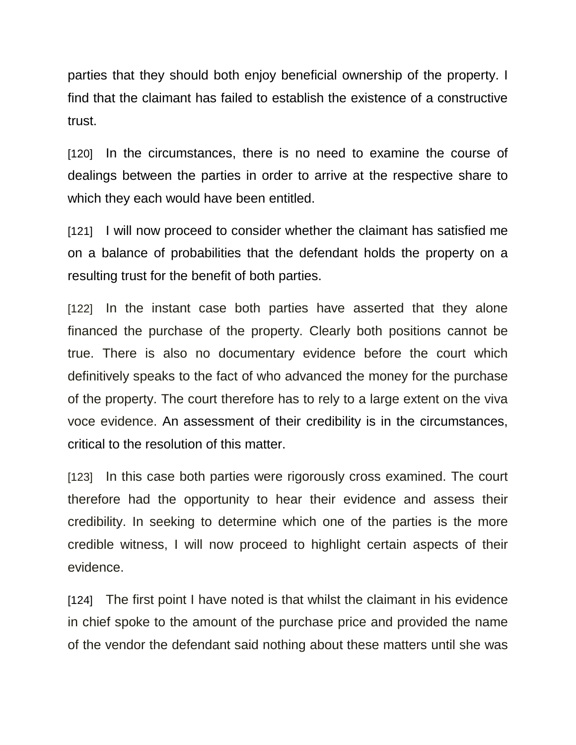parties that they should both enjoy beneficial ownership of the property. I find that the claimant has failed to establish the existence of a constructive trust.

[120] In the circumstances, there is no need to examine the course of dealings between the parties in order to arrive at the respective share to which they each would have been entitled.

[121] I will now proceed to consider whether the claimant has satisfied me on a balance of probabilities that the defendant holds the property on a resulting trust for the benefit of both parties.

[122] In the instant case both parties have asserted that they alone financed the purchase of the property. Clearly both positions cannot be true. There is also no documentary evidence before the court which definitively speaks to the fact of who advanced the money for the purchase of the property. The court therefore has to rely to a large extent on the viva voce evidence. An assessment of their credibility is in the circumstances, critical to the resolution of this matter.

[123] In this case both parties were rigorously cross examined. The court therefore had the opportunity to hear their evidence and assess their credibility. In seeking to determine which one of the parties is the more credible witness, I will now proceed to highlight certain aspects of their evidence.

[124] The first point I have noted is that whilst the claimant in his evidence in chief spoke to the amount of the purchase price and provided the name of the vendor the defendant said nothing about these matters until she was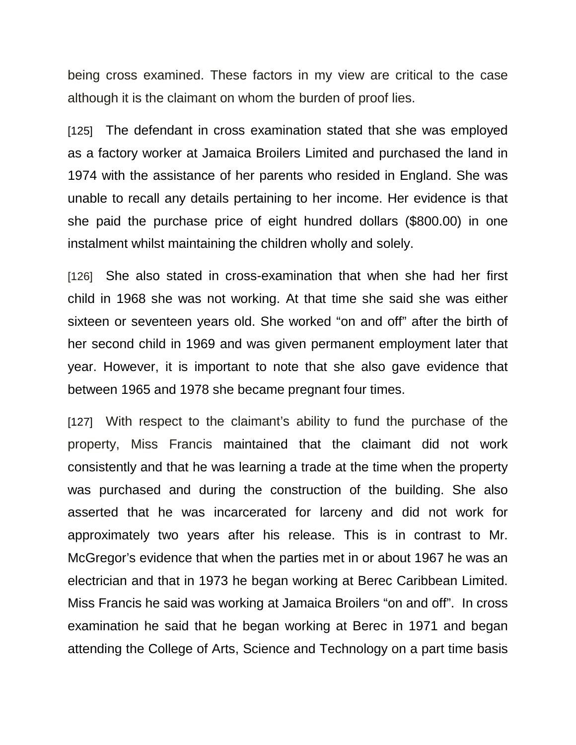being cross examined. These factors in my view are critical to the case although it is the claimant on whom the burden of proof lies.

[125] The defendant in cross examination stated that she was employed as a factory worker at Jamaica Broilers Limited and purchased the land in 1974 with the assistance of her parents who resided in England. She was unable to recall any details pertaining to her income. Her evidence is that she paid the purchase price of eight hundred dollars (\$800.00) in one instalment whilst maintaining the children wholly and solely.

[126] She also stated in cross-examination that when she had her first child in 1968 she was not working. At that time she said she was either sixteen or seventeen years old. She worked "on and off" after the birth of her second child in 1969 and was given permanent employment later that year. However, it is important to note that she also gave evidence that between 1965 and 1978 she became pregnant four times.

[127] With respect to the claimant's ability to fund the purchase of the property, Miss Francis maintained that the claimant did not work consistently and that he was learning a trade at the time when the property was purchased and during the construction of the building. She also asserted that he was incarcerated for larceny and did not work for approximately two years after his release. This is in contrast to Mr. McGregor's evidence that when the parties met in or about 1967 he was an electrician and that in 1973 he began working at Berec Caribbean Limited. Miss Francis he said was working at Jamaica Broilers "on and off". In cross examination he said that he began working at Berec in 1971 and began attending the College of Arts, Science and Technology on a part time basis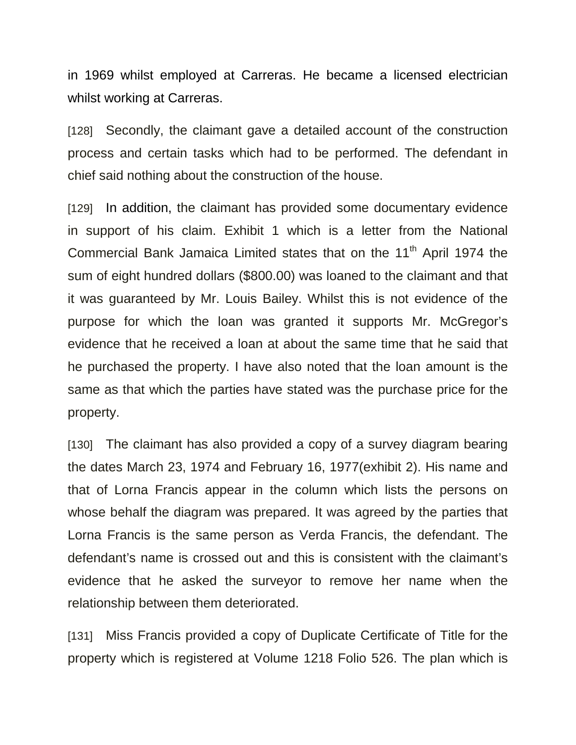in 1969 whilst employed at Carreras. He became a licensed electrician whilst working at Carreras.

[128] Secondly, the claimant gave a detailed account of the construction process and certain tasks which had to be performed. The defendant in chief said nothing about the construction of the house.

[129] In addition, the claimant has provided some documentary evidence in support of his claim. Exhibit 1 which is a letter from the National Commercial Bank Jamaica Limited states that on the 11<sup>th</sup> April 1974 the sum of eight hundred dollars (\$800.00) was loaned to the claimant and that it was guaranteed by Mr. Louis Bailey. Whilst this is not evidence of the purpose for which the loan was granted it supports Mr. McGregor's evidence that he received a loan at about the same time that he said that he purchased the property. I have also noted that the loan amount is the same as that which the parties have stated was the purchase price for the property.

[130] The claimant has also provided a copy of a survey diagram bearing the dates March 23, 1974 and February 16, 1977(exhibit 2). His name and that of Lorna Francis appear in the column which lists the persons on whose behalf the diagram was prepared. It was agreed by the parties that Lorna Francis is the same person as Verda Francis, the defendant. The defendant's name is crossed out and this is consistent with the claimant's evidence that he asked the surveyor to remove her name when the relationship between them deteriorated.

[131] Miss Francis provided a copy of Duplicate Certificate of Title for the property which is registered at Volume 1218 Folio 526. The plan which is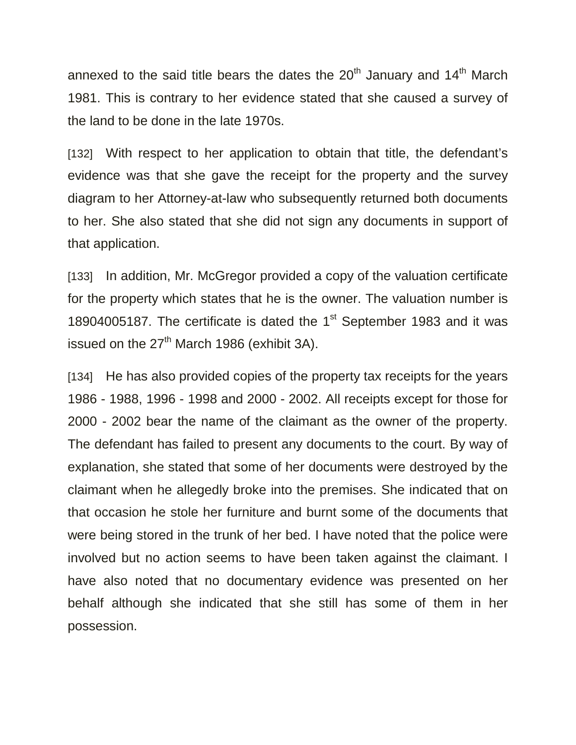annexed to the said title bears the dates the  $20<sup>th</sup>$  January and  $14<sup>th</sup>$  March 1981. This is contrary to her evidence stated that she caused a survey of the land to be done in the late 1970s.

[132] With respect to her application to obtain that title, the defendant's evidence was that she gave the receipt for the property and the survey diagram to her Attorney-at-law who subsequently returned both documents to her. She also stated that she did not sign any documents in support of that application.

[133] In addition, Mr. McGregor provided a copy of the valuation certificate for the property which states that he is the owner. The valuation number is 18904005187. The certificate is dated the  $1<sup>st</sup>$  September 1983 and it was issued on the  $27<sup>th</sup>$  March 1986 (exhibit 3A).

[134] He has also provided copies of the property tax receipts for the years 1986 - 1988, 1996 - 1998 and 2000 - 2002. All receipts except for those for 2000 - 2002 bear the name of the claimant as the owner of the property. The defendant has failed to present any documents to the court. By way of explanation, she stated that some of her documents were destroyed by the claimant when he allegedly broke into the premises. She indicated that on that occasion he stole her furniture and burnt some of the documents that were being stored in the trunk of her bed. I have noted that the police were involved but no action seems to have been taken against the claimant. I have also noted that no documentary evidence was presented on her behalf although she indicated that she still has some of them in her possession.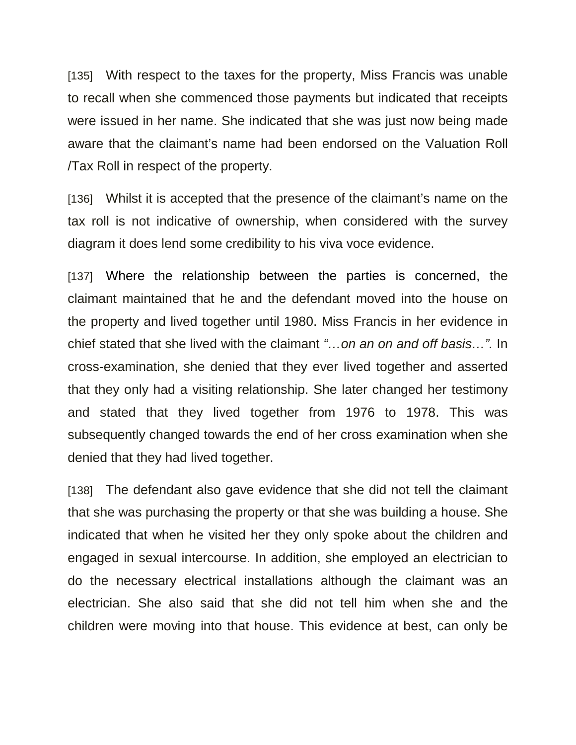[135] With respect to the taxes for the property, Miss Francis was unable to recall when she commenced those payments but indicated that receipts were issued in her name. She indicated that she was just now being made aware that the claimant's name had been endorsed on the Valuation Roll /Tax Roll in respect of the property.

[136] Whilst it is accepted that the presence of the claimant's name on the tax roll is not indicative of ownership, when considered with the survey diagram it does lend some credibility to his viva voce evidence.

[137] Where the relationship between the parties is concerned, the claimant maintained that he and the defendant moved into the house on the property and lived together until 1980. Miss Francis in her evidence in chief stated that she lived with the claimant *"…on an on and off basis…".* In cross-examination, she denied that they ever lived together and asserted that they only had a visiting relationship. She later changed her testimony and stated that they lived together from 1976 to 1978. This was subsequently changed towards the end of her cross examination when she denied that they had lived together.

[138] The defendant also gave evidence that she did not tell the claimant that she was purchasing the property or that she was building a house. She indicated that when he visited her they only spoke about the children and engaged in sexual intercourse. In addition, she employed an electrician to do the necessary electrical installations although the claimant was an electrician. She also said that she did not tell him when she and the children were moving into that house. This evidence at best, can only be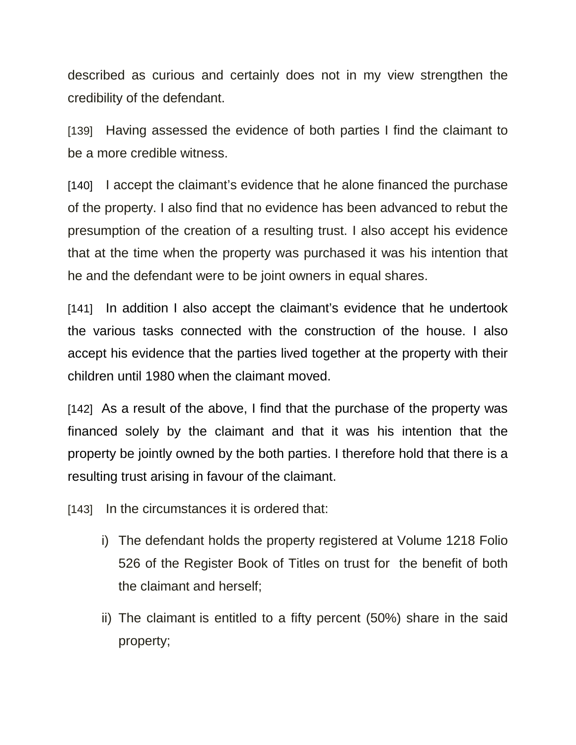described as curious and certainly does not in my view strengthen the credibility of the defendant.

[139] Having assessed the evidence of both parties I find the claimant to be a more credible witness.

[140] I accept the claimant's evidence that he alone financed the purchase of the property. I also find that no evidence has been advanced to rebut the presumption of the creation of a resulting trust. I also accept his evidence that at the time when the property was purchased it was his intention that he and the defendant were to be joint owners in equal shares.

[141] In addition I also accept the claimant's evidence that he undertook the various tasks connected with the construction of the house. I also accept his evidence that the parties lived together at the property with their children until 1980 when the claimant moved.

[142] As a result of the above, I find that the purchase of the property was financed solely by the claimant and that it was his intention that the property be jointly owned by the both parties. I therefore hold that there is a resulting trust arising in favour of the claimant.

[143] In the circumstances it is ordered that:

- i) The defendant holds the property registered at Volume 1218 Folio 526 of the Register Book of Titles on trust for the benefit of both the claimant and herself;
- ii) The claimant is entitled to a fifty percent (50%) share in the said property;